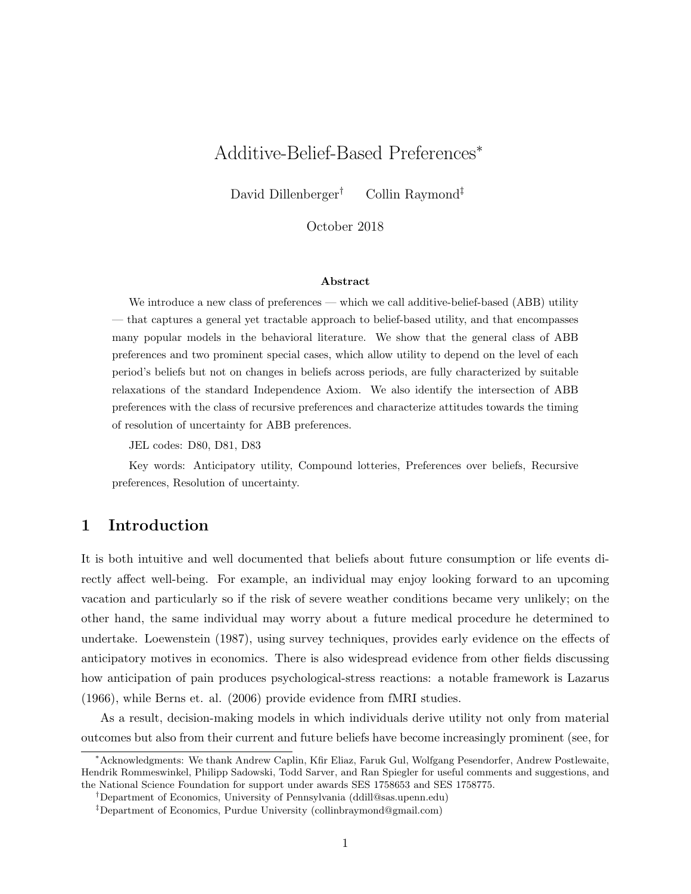# Additive-Belief-Based Preferences<sup>∗</sup>

David Dillenberger<sup>†</sup> Collin Raymond<sup>‡</sup>

October 2018

#### Abstract

We introduce a new class of preferences — which we call additive-belief-based (ABB) utility — that captures a general yet tractable approach to belief-based utility, and that encompasses many popular models in the behavioral literature. We show that the general class of ABB preferences and two prominent special cases, which allow utility to depend on the level of each period's beliefs but not on changes in beliefs across periods, are fully characterized by suitable relaxations of the standard Independence Axiom. We also identify the intersection of ABB preferences with the class of recursive preferences and characterize attitudes towards the timing of resolution of uncertainty for ABB preferences.

JEL codes: D80, D81, D83

Key words: Anticipatory utility, Compound lotteries, Preferences over beliefs, Recursive preferences, Resolution of uncertainty.

### 1 Introduction

It is both intuitive and well documented that beliefs about future consumption or life events directly affect well-being. For example, an individual may enjoy looking forward to an upcoming vacation and particularly so if the risk of severe weather conditions became very unlikely; on the other hand, the same individual may worry about a future medical procedure he determined to undertake. Loewenstein (1987), using survey techniques, provides early evidence on the effects of anticipatory motives in economics. There is also widespread evidence from other fields discussing how anticipation of pain produces psychological-stress reactions: a notable framework is Lazarus (1966), while Berns et. al. (2006) provide evidence from fMRI studies.

As a result, decision-making models in which individuals derive utility not only from material outcomes but also from their current and future beliefs have become increasingly prominent (see, for

<sup>∗</sup>Acknowledgments: We thank Andrew Caplin, Kfir Eliaz, Faruk Gul, Wolfgang Pesendorfer, Andrew Postlewaite, Hendrik Rommeswinkel, Philipp Sadowski, Todd Sarver, and Ran Spiegler for useful comments and suggestions, and the National Science Foundation for support under awards SES 1758653 and SES 1758775.

<sup>†</sup>Department of Economics, University of Pennsylvania (ddill@sas.upenn.edu)

<sup>‡</sup>Department of Economics, Purdue University (collinbraymond@gmail.com)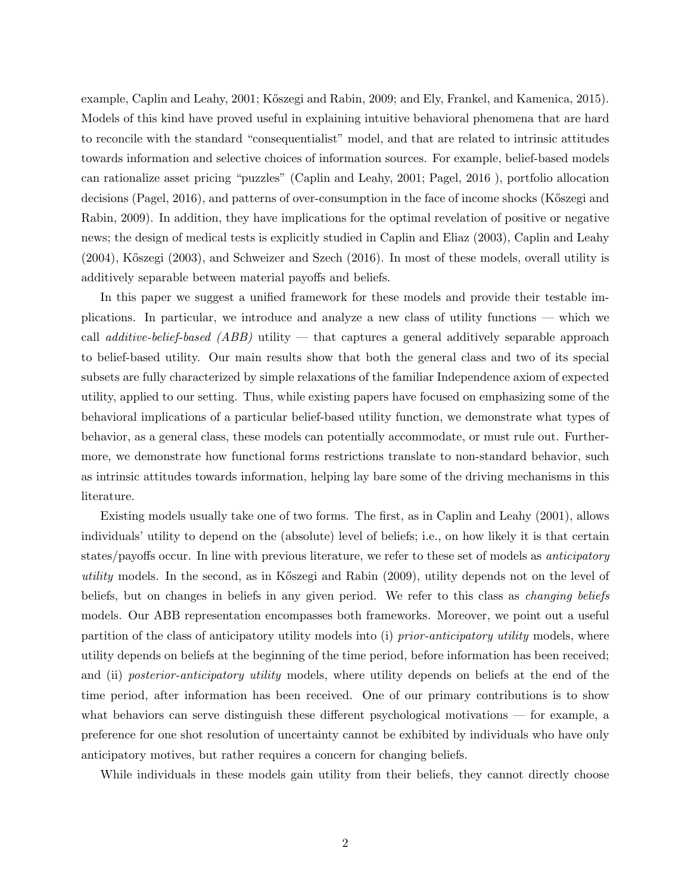example, Caplin and Leahy, 2001; Kőszegi and Rabin, 2009; and Ely, Frankel, and Kamenica, 2015). Models of this kind have proved useful in explaining intuitive behavioral phenomena that are hard to reconcile with the standard "consequentialist" model, and that are related to intrinsic attitudes towards information and selective choices of information sources. For example, belief-based models can rationalize asset pricing "puzzles" (Caplin and Leahy, 2001; Pagel, 2016 ), portfolio allocation decisions (Pagel, 2016), and patterns of over-consumption in the face of income shocks (Kőszegi and Rabin, 2009). In addition, they have implications for the optimal revelation of positive or negative news; the design of medical tests is explicitly studied in Caplin and Eliaz (2003), Caplin and Leahy (2004), K˝oszegi (2003), and Schweizer and Szech (2016). In most of these models, overall utility is additively separable between material payoffs and beliefs.

In this paper we suggest a unified framework for these models and provide their testable implications. In particular, we introduce and analyze a new class of utility functions — which we call *additive-belief-based*  $(ABB)$  utility — that captures a general additively separable approach to belief-based utility. Our main results show that both the general class and two of its special subsets are fully characterized by simple relaxations of the familiar Independence axiom of expected utility, applied to our setting. Thus, while existing papers have focused on emphasizing some of the behavioral implications of a particular belief-based utility function, we demonstrate what types of behavior, as a general class, these models can potentially accommodate, or must rule out. Furthermore, we demonstrate how functional forms restrictions translate to non-standard behavior, such as intrinsic attitudes towards information, helping lay bare some of the driving mechanisms in this literature.

Existing models usually take one of two forms. The first, as in Caplin and Leahy (2001), allows individuals' utility to depend on the (absolute) level of beliefs; i.e., on how likely it is that certain states/payoffs occur. In line with previous literature, we refer to these set of models as anticipatory utility models. In the second, as in Kőszegi and Rabin (2009), utility depends not on the level of beliefs, but on changes in beliefs in any given period. We refer to this class as *changing beliefs* models. Our ABB representation encompasses both frameworks. Moreover, we point out a useful partition of the class of anticipatory utility models into (i) prior-anticipatory utility models, where utility depends on beliefs at the beginning of the time period, before information has been received; and (ii) posterior-anticipatory utility models, where utility depends on beliefs at the end of the time period, after information has been received. One of our primary contributions is to show what behaviors can serve distinguish these different psychological motivations — for example, a preference for one shot resolution of uncertainty cannot be exhibited by individuals who have only anticipatory motives, but rather requires a concern for changing beliefs.

While individuals in these models gain utility from their beliefs, they cannot directly choose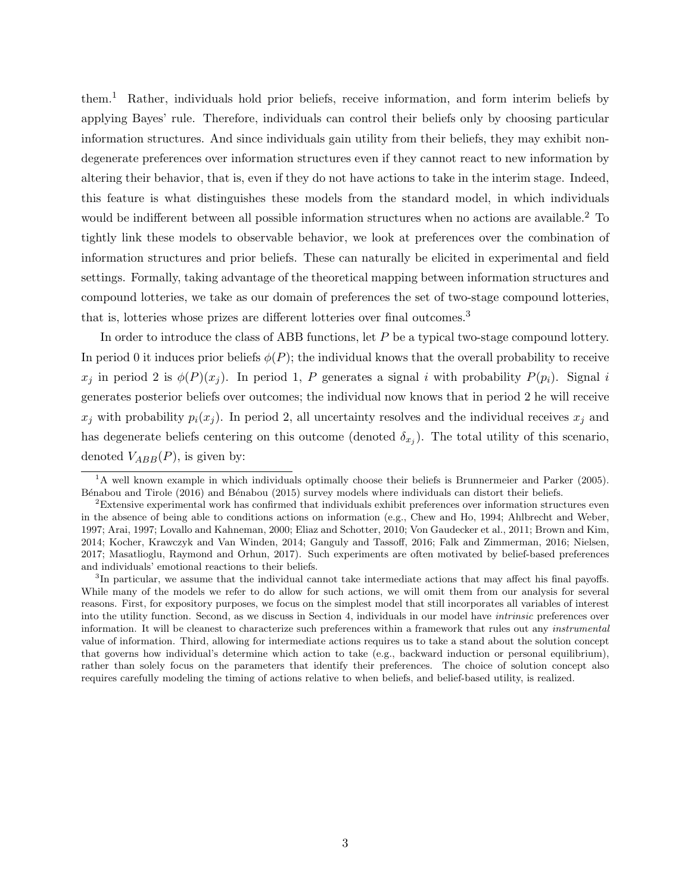them.<sup>1</sup> Rather, individuals hold prior beliefs, receive information, and form interim beliefs by applying Bayes' rule. Therefore, individuals can control their beliefs only by choosing particular information structures. And since individuals gain utility from their beliefs, they may exhibit nondegenerate preferences over information structures even if they cannot react to new information by altering their behavior, that is, even if they do not have actions to take in the interim stage. Indeed, this feature is what distinguishes these models from the standard model, in which individuals would be indifferent between all possible information structures when no actions are available.<sup>2</sup> To tightly link these models to observable behavior, we look at preferences over the combination of information structures and prior beliefs. These can naturally be elicited in experimental and field settings. Formally, taking advantage of the theoretical mapping between information structures and compound lotteries, we take as our domain of preferences the set of two-stage compound lotteries, that is, lotteries whose prizes are different lotteries over final outcomes.<sup>3</sup>

In order to introduce the class of ABB functions, let P be a typical two-stage compound lottery. In period 0 it induces prior beliefs  $\phi(P)$ ; the individual knows that the overall probability to receive  $x_i$  in period 2 is  $\phi(P)(x_i)$ . In period 1, P generates a signal i with probability  $P(p_i)$ . Signal i generates posterior beliefs over outcomes; the individual now knows that in period 2 he will receive  $x_i$  with probability  $p_i(x_i)$ . In period 2, all uncertainty resolves and the individual receives  $x_i$  and has degenerate beliefs centering on this outcome (denoted  $\delta_{x_j}$ ). The total utility of this scenario, denoted  $V_{ABB}(P)$ , is given by:

<sup>&</sup>lt;sup>1</sup>A well known example in which individuals optimally choose their beliefs is Brunnermeier and Parker (2005). Bénabou and Tirole (2016) and Bénabou (2015) survey models where individuals can distort their beliefs.

<sup>2</sup>Extensive experimental work has confirmed that individuals exhibit preferences over information structures even in the absence of being able to conditions actions on information (e.g., Chew and Ho, 1994; Ahlbrecht and Weber, 1997; Arai, 1997; Lovallo and Kahneman, 2000; Eliaz and Schotter, 2010; Von Gaudecker et al., 2011; Brown and Kim, 2014; Kocher, Krawczyk and Van Winden, 2014; Ganguly and Tassoff, 2016; Falk and Zimmerman, 2016; Nielsen, 2017; Masatlioglu, Raymond and Orhun, 2017). Such experiments are often motivated by belief-based preferences and individuals' emotional reactions to their beliefs.

<sup>&</sup>lt;sup>3</sup>In particular, we assume that the individual cannot take intermediate actions that may affect his final payoffs. While many of the models we refer to do allow for such actions, we will omit them from our analysis for several reasons. First, for expository purposes, we focus on the simplest model that still incorporates all variables of interest into the utility function. Second, as we discuss in Section 4, individuals in our model have intrinsic preferences over information. It will be cleanest to characterize such preferences within a framework that rules out any instrumental value of information. Third, allowing for intermediate actions requires us to take a stand about the solution concept that governs how individual's determine which action to take (e.g., backward induction or personal equilibrium), rather than solely focus on the parameters that identify their preferences. The choice of solution concept also requires carefully modeling the timing of actions relative to when beliefs, and belief-based utility, is realized.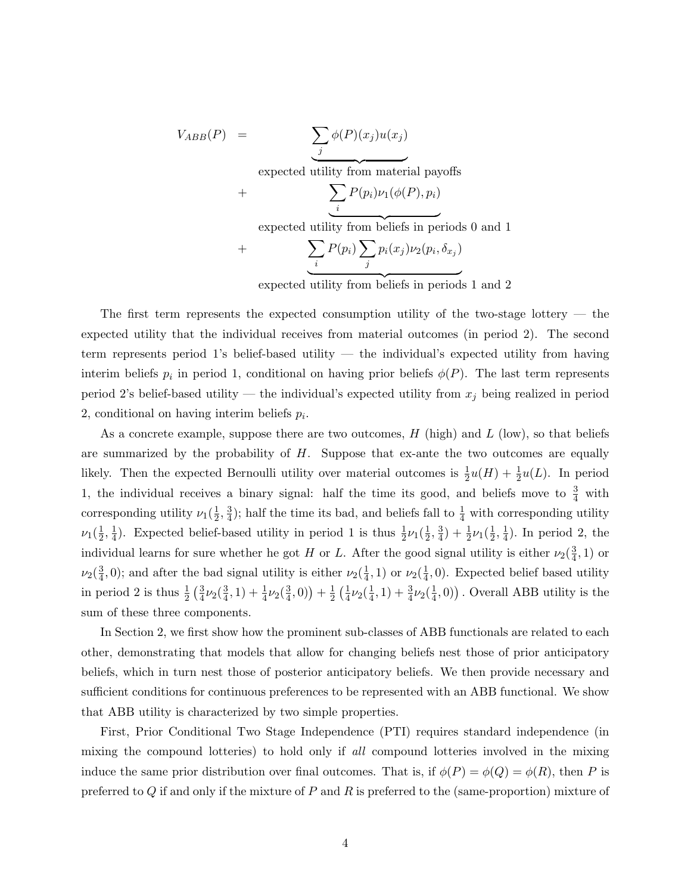$$
V_{ABB}(P) = \underbrace{\sum_{j} \phi(P)(x_j)u(x_j)}_{\text{expected utility from material payoffs}}
$$
  
+ 
$$
\underbrace{\sum_{i} P(p_i)\nu_1(\phi(P), p_i)}_{\text{expected utility from beliefs in periods 0 and 1}}
$$
  
+ 
$$
\underbrace{\sum_{i} P(p_i) \sum_{j} p_i(x_j)\nu_2(p_i, \delta_{x_j})}_{\text{i}}
$$

expected utility from beliefs in periods 1 and 2

The first term represents the expected consumption utility of the two-stage lottery — the expected utility that the individual receives from material outcomes (in period 2). The second term represents period 1's belief-based utility — the individual's expected utility from having interim beliefs  $p_i$  in period 1, conditional on having prior beliefs  $\phi(P)$ . The last term represents period 2's belief-based utility — the individual's expected utility from  $x_j$  being realized in period 2, conditional on having interim beliefs  $p_i$ .

As a concrete example, suppose there are two outcomes,  $H$  (high) and  $L$  (low), so that beliefs are summarized by the probability of  $H$ . Suppose that ex-ante the two outcomes are equally likely. Then the expected Bernoulli utility over material outcomes is  $\frac{1}{2}u(H) + \frac{1}{2}u(L)$ . In period 1, the individual receives a binary signal: half the time its good, and beliefs move to  $\frac{3}{4}$  with corresponding utility  $\nu_1(\frac{1}{2})$  $\frac{1}{2}, \frac{3}{4}$  $\frac{3}{4}$ ); half the time its bad, and beliefs fall to  $\frac{1}{4}$  with corresponding utility  $\nu_1(\frac{1}{2}$  $\frac{1}{2}, \frac{1}{4}$  $\frac{1}{4}$ ). Expected belief-based utility in period 1 is thus  $\frac{1}{2}\nu_1(\frac{1}{2})$  $\frac{1}{2}, \frac{3}{4}$  $\frac{3}{4}) + \frac{1}{2}\nu_1(\frac{1}{2})$  $\frac{1}{2}, \frac{1}{4}$  $\frac{1}{4}$ ). In period 2, the individual learns for sure whether he got H or L. After the good signal utility is either  $\nu_2(\frac{3}{4})$  $\frac{3}{4}, 1)$  or  $\nu_2(\frac{3}{4}$  $\frac{3}{4}$ , 0); and after the bad signal utility is either  $\nu_2(\frac{1}{4})$  $(\frac{1}{4}, 1)$  or  $\nu_2(\frac{1}{4})$  $\frac{1}{4}$ , 0). Expected belief based utility in period 2 is thus  $\frac{1}{2} \left( \frac{3}{4} \right)$  $\frac{3}{4}\nu_2(\frac{3}{4}$  $(\frac{3}{4},1)+\frac{1}{4}\nu_2(\frac{3}{4})$  $(\frac{3}{4},0)+\frac{1}{2}$  $rac{1}{2}(\frac{1}{4})$  $\frac{1}{4}\nu_2(\frac{1}{4}$  $(\frac{1}{4},1)+\frac{3}{4}\nu_2(\frac{1}{4})$  $(\frac{1}{4}, 0)$ ). Overall ABB utility is the sum of these three components.

In Section 2, we first show how the prominent sub-classes of ABB functionals are related to each other, demonstrating that models that allow for changing beliefs nest those of prior anticipatory beliefs, which in turn nest those of posterior anticipatory beliefs. We then provide necessary and sufficient conditions for continuous preferences to be represented with an ABB functional. We show that ABB utility is characterized by two simple properties.

First, Prior Conditional Two Stage Independence (PTI) requires standard independence (in mixing the compound lotteries) to hold only if all compound lotteries involved in the mixing induce the same prior distribution over final outcomes. That is, if  $\phi(P) = \phi(Q) = \phi(R)$ , then P is preferred to Q if and only if the mixture of P and R is preferred to the (same-proportion) mixture of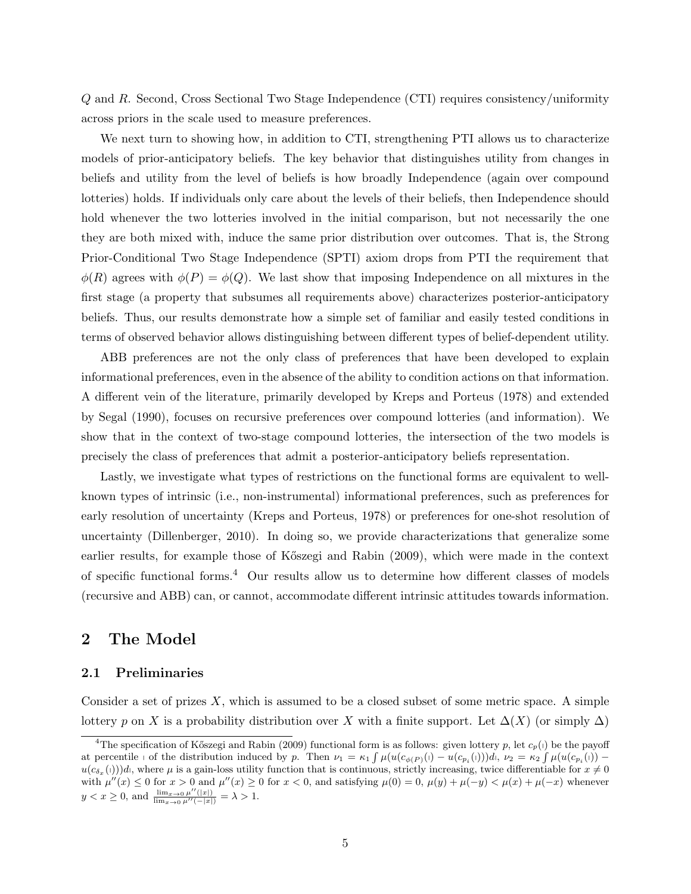Q and R. Second, Cross Sectional Two Stage Independence (CTI) requires consistency/uniformity across priors in the scale used to measure preferences.

We next turn to showing how, in addition to CTI, strengthening PTI allows us to characterize models of prior-anticipatory beliefs. The key behavior that distinguishes utility from changes in beliefs and utility from the level of beliefs is how broadly Independence (again over compound lotteries) holds. If individuals only care about the levels of their beliefs, then Independence should hold whenever the two lotteries involved in the initial comparison, but not necessarily the one they are both mixed with, induce the same prior distribution over outcomes. That is, the Strong Prior-Conditional Two Stage Independence (SPTI) axiom drops from PTI the requirement that  $\phi(R)$  agrees with  $\phi(P) = \phi(Q)$ . We last show that imposing Independence on all mixtures in the first stage (a property that subsumes all requirements above) characterizes posterior-anticipatory beliefs. Thus, our results demonstrate how a simple set of familiar and easily tested conditions in terms of observed behavior allows distinguishing between different types of belief-dependent utility.

ABB preferences are not the only class of preferences that have been developed to explain informational preferences, even in the absence of the ability to condition actions on that information. A different vein of the literature, primarily developed by Kreps and Porteus (1978) and extended by Segal (1990), focuses on recursive preferences over compound lotteries (and information). We show that in the context of two-stage compound lotteries, the intersection of the two models is precisely the class of preferences that admit a posterior-anticipatory beliefs representation.

Lastly, we investigate what types of restrictions on the functional forms are equivalent to wellknown types of intrinsic (i.e., non-instrumental) informational preferences, such as preferences for early resolution of uncertainty (Kreps and Porteus, 1978) or preferences for one-shot resolution of uncertainty (Dillenberger, 2010). In doing so, we provide characterizations that generalize some earlier results, for example those of Kőszegi and Rabin (2009), which were made in the context of specific functional forms.<sup>4</sup> Our results allow us to determine how different classes of models (recursive and ABB) can, or cannot, accommodate different intrinsic attitudes towards information.

### 2 The Model

### 2.1 Preliminaries

Consider a set of prizes  $X$ , which is assumed to be a closed subset of some metric space. A simple lottery p on X is a probability distribution over X with a finite support. Let  $\Delta(X)$  (or simply  $\Delta$ )

<sup>&</sup>lt;sup>4</sup>The specification of Kőszegi and Rabin (2009) functional form is as follows: given lottery p, let  $c_p(1)$  be the payoff at percentile  $\phi$  of the distribution induced by p. Then  $\nu_1 = \kappa_1 \int \mu(u(c_{\phi(P)}(\theta) - u(c_{p_i}(\theta)))d\theta, \nu_2 = \kappa_2 \int \mu(u(c_{p_i}(\theta)) - u(c_{p_i}(\theta)))d\theta$  $u(c_{\delta_x}(\theta))$ d, where  $\mu$  is a gain-loss utility function that is continuous, strictly increasing, twice differentiable for  $x \neq 0$ with  $\mu''(x) \leq 0$  for  $x > 0$  and  $\mu''(x) \geq 0$  for  $x < 0$ , and satisfying  $\mu(0) = 0$ ,  $\mu(y) + \mu(-y) < \mu(x) + \mu(-x)$  whenever  $y < x \ge 0$ , and  $\frac{\lim_{x \to 0} \mu''(|x|)}{\lim_{x \to 0} \mu''(-|x|)} = \lambda > 1$ .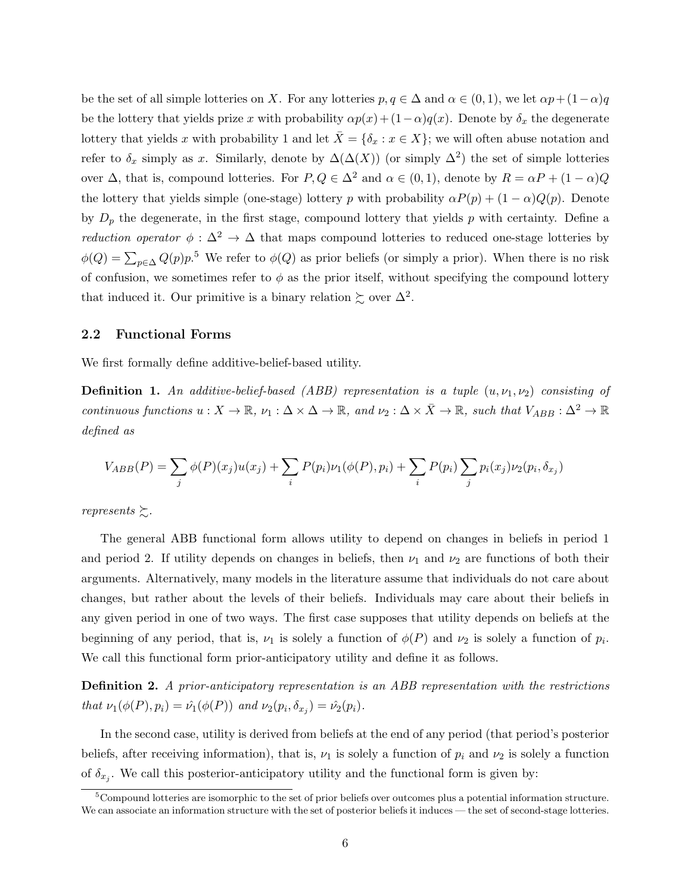be the set of all simple lotteries on X. For any lotteries  $p, q \in \Delta$  and  $\alpha \in (0, 1)$ , we let  $\alpha p + (1 - \alpha)q$ be the lottery that yields prize x with probability  $\alpha p(x) + (1-\alpha)q(x)$ . Denote by  $\delta_x$  the degenerate lottery that yields x with probability 1 and let  $\bar{X} = \{\delta_x : x \in X\}$ ; we will often abuse notation and refer to  $\delta_x$  simply as x. Similarly, denote by  $\Delta(\Delta(X))$  (or simply  $\Delta^2$ ) the set of simple lotteries over  $\Delta$ , that is, compound lotteries. For  $P, Q \in \Delta^2$  and  $\alpha \in (0, 1)$ , denote by  $R = \alpha P + (1 - \alpha)Q$ the lottery that yields simple (one-stage) lottery p with probability  $\alpha P(p) + (1 - \alpha)Q(p)$ . Denote by  $D_p$  the degenerate, in the first stage, compound lottery that yields p with certainty. Define a *reduction operator*  $\phi : \Delta^2 \to \Delta$  that maps compound lotteries to reduced one-stage lotteries by  $\phi(Q) = \sum_{p \in \Delta} Q(p) p^{5}$  We refer to  $\phi(Q)$  as prior beliefs (or simply a prior). When there is no risk of confusion, we sometimes refer to  $\phi$  as the prior itself, without specifying the compound lottery that induced it. Our primitive is a binary relation  $\succsim$  over  $\Delta^2$ .

### 2.2 Functional Forms

We first formally define additive-belief-based utility.

**Definition 1.** An additive-belief-based (ABB) representation is a tuple  $(u, \nu_1, \nu_2)$  consisting of continuous functions  $u: X \to \mathbb{R}$ ,  $\nu_1: \Delta \times \Delta \to \mathbb{R}$ , and  $\nu_2: \Delta \times \overline{X} \to \mathbb{R}$ , such that  $V_{ABB} : \Delta^2 \to \mathbb{R}$ defined as

$$
V_{ABB}(P) = \sum_{j} \phi(P)(x_j)u(x_j) + \sum_{i} P(p_i)\nu_1(\phi(P), p_i) + \sum_{i} P(p_i) \sum_{j} p_i(x_j)\nu_2(p_i, \delta_{x_j})
$$

represents  $\succsim$ .

The general ABB functional form allows utility to depend on changes in beliefs in period 1 and period 2. If utility depends on changes in beliefs, then  $\nu_1$  and  $\nu_2$  are functions of both their arguments. Alternatively, many models in the literature assume that individuals do not care about changes, but rather about the levels of their beliefs. Individuals may care about their beliefs in any given period in one of two ways. The first case supposes that utility depends on beliefs at the beginning of any period, that is,  $\nu_1$  is solely a function of  $\phi(P)$  and  $\nu_2$  is solely a function of  $p_i$ . We call this functional form prior-anticipatory utility and define it as follows.

Definition 2. A prior-anticipatory representation is an ABB representation with the restrictions that  $\nu_1(\phi(P), p_i) = \hat{\nu_1}(\phi(P))$  and  $\nu_2(p_i, \delta_{x_j}) = \hat{\nu_2}(p_i)$ .

In the second case, utility is derived from beliefs at the end of any period (that period's posterior beliefs, after receiving information), that is,  $\nu_1$  is solely a function of  $p_i$  and  $\nu_2$  is solely a function of  $\delta_{x_j}$ . We call this posterior-anticipatory utility and the functional form is given by:

 $5$ Compound lotteries are isomorphic to the set of prior beliefs over outcomes plus a potential information structure. We can associate an information structure with the set of posterior beliefs it induces — the set of second-stage lotteries.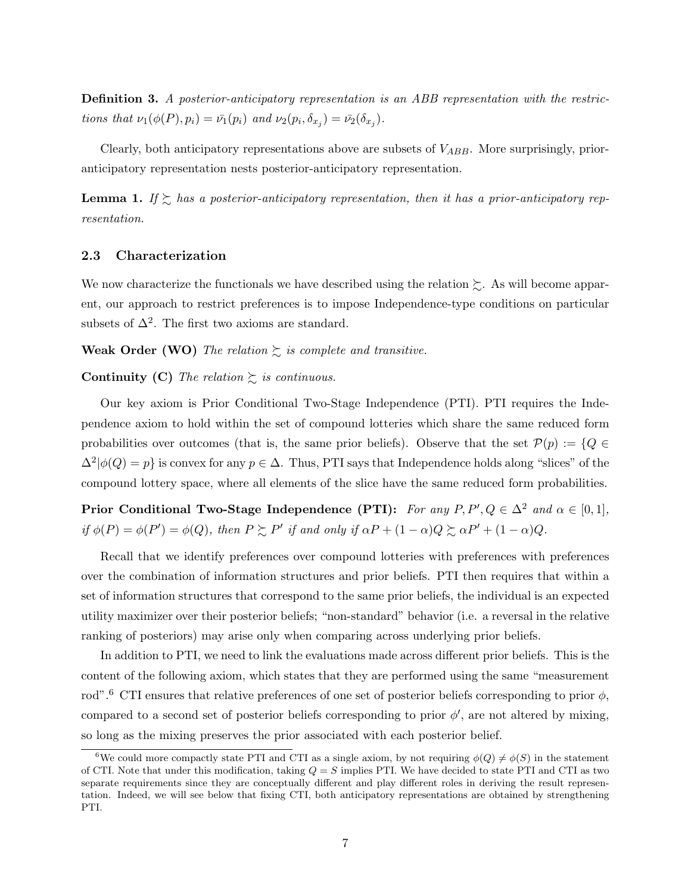Definition 3. A posterior-anticipatory representation is an ABB representation with the restrictions that  $\nu_1(\phi(P), p_i) = \bar{\nu_1}(p_i)$  and  $\nu_2(p_i, \delta_{x_j}) = \bar{\nu_2}(\delta_{x_j}).$ 

Clearly, both anticipatory representations above are subsets of  $V_{ABB}$ . More surprisingly, prioranticipatory representation nests posterior-anticipatory representation.

**Lemma 1.** If  $\succsim$  has a posterior-anticipatory representation, then it has a prior-anticipatory representation.

#### 2.3 Characterization

We now characterize the functionals we have described using the relation  $\succsim$ . As will become apparent, our approach to restrict preferences is to impose Independence-type conditions on particular subsets of  $\Delta^2$ . The first two axioms are standard.

**Weak Order (WO)** The relation  $\sum$  is complete and transitive.

#### **Continuity (C)** The relation  $\sum$  is continuous.

Our key axiom is Prior Conditional Two-Stage Independence (PTI). PTI requires the Independence axiom to hold within the set of compound lotteries which share the same reduced form probabilities over outcomes (that is, the same prior beliefs). Observe that the set  $\mathcal{P}(p) := \{Q \in$  $\Delta^2|\phi(Q) = p$  is convex for any  $p \in \Delta$ . Thus, PTI says that Independence holds along "slices" of the compound lottery space, where all elements of the slice have the same reduced form probabilities.

Prior Conditional Two-Stage Independence (PTI): For any  $P, P', Q \in \Delta^2$  and  $\alpha \in [0,1],$ if  $\phi(P) = \phi(P') = \phi(Q)$ , then  $P \succeq P'$  if and only if  $\alpha P + (1 - \alpha)Q \succeq \alpha P' + (1 - \alpha)Q$ .

Recall that we identify preferences over compound lotteries with preferences with preferences over the combination of information structures and prior beliefs. PTI then requires that within a set of information structures that correspond to the same prior beliefs, the individual is an expected utility maximizer over their posterior beliefs; "non-standard" behavior (i.e. a reversal in the relative ranking of posteriors) may arise only when comparing across underlying prior beliefs.

In addition to PTI, we need to link the evaluations made across different prior beliefs. This is the content of the following axiom, which states that they are performed using the same "measurement rod".<sup>6</sup> CTI ensures that relative preferences of one set of posterior beliefs corresponding to prior  $\phi$ , compared to a second set of posterior beliefs corresponding to prior  $\phi'$ , are not altered by mixing, so long as the mixing preserves the prior associated with each posterior belief.

<sup>&</sup>lt;sup>6</sup>We could more compactly state PTI and CTI as a single axiom, by not requiring  $\phi(Q) \neq \phi(S)$  in the statement of CTI. Note that under this modification, taking  $Q = S$  implies PTI. We have decided to state PTI and CTI as two separate requirements since they are conceptually different and play different roles in deriving the result representation. Indeed, we will see below that fixing CTI, both anticipatory representations are obtained by strengthening PTI.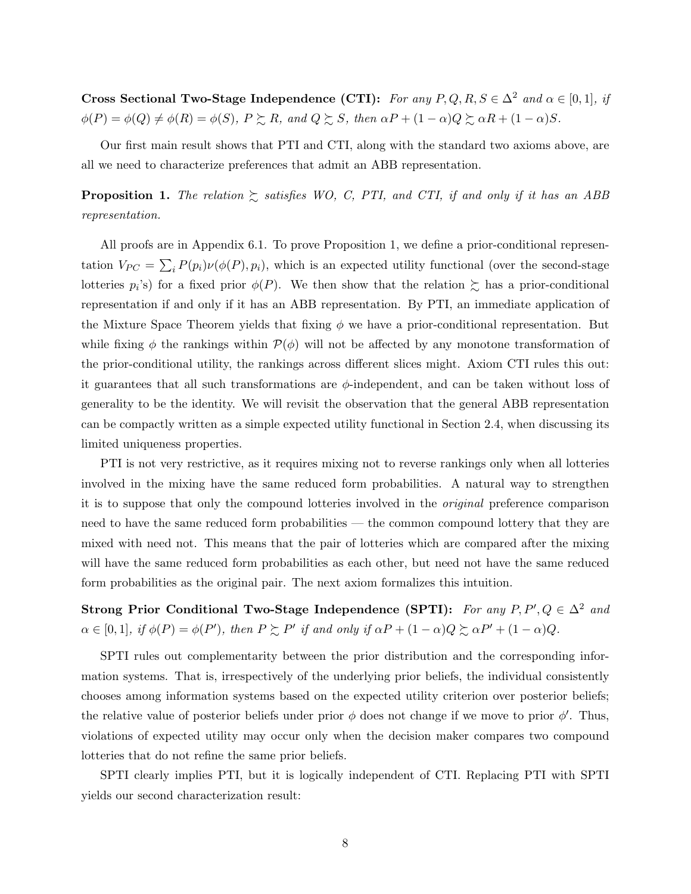Cross Sectional Two-Stage Independence (CTI): For any  $P, Q, R, S \in \Delta^2$  and  $\alpha \in [0, 1]$ , if  $\phi(P) = \phi(Q) \neq \phi(R) = \phi(S), P \succsim R$ , and  $Q \succsim S$ , then  $\alpha P + (1 - \alpha)Q \succsim \alpha R + (1 - \alpha)S$ .

Our first main result shows that PTI and CTI, along with the standard two axioms above, are all we need to characterize preferences that admit an ABB representation.

**Proposition 1.** The relation  $\succsim$  satisfies WO, C, PTI, and CTI, if and only if it has an ABB representation.

All proofs are in Appendix 6.1. To prove Proposition 1, we define a prior-conditional representation  $V_{PC} = \sum_i P(p_i) \nu(\phi(P), p_i)$ , which is an expected utility functional (over the second-stage lotteries  $p_i$ 's) for a fixed prior  $\phi(P)$ . We then show that the relation  $\succeq$  has a prior-conditional representation if and only if it has an ABB representation. By PTI, an immediate application of the Mixture Space Theorem yields that fixing  $\phi$  we have a prior-conditional representation. But while fixing  $\phi$  the rankings within  $\mathcal{P}(\phi)$  will not be affected by any monotone transformation of the prior-conditional utility, the rankings across different slices might. Axiom CTI rules this out: it guarantees that all such transformations are  $\phi$ -independent, and can be taken without loss of generality to be the identity. We will revisit the observation that the general ABB representation can be compactly written as a simple expected utility functional in Section 2.4, when discussing its limited uniqueness properties.

PTI is not very restrictive, as it requires mixing not to reverse rankings only when all lotteries involved in the mixing have the same reduced form probabilities. A natural way to strengthen it is to suppose that only the compound lotteries involved in the original preference comparison need to have the same reduced form probabilities — the common compound lottery that they are mixed with need not. This means that the pair of lotteries which are compared after the mixing will have the same reduced form probabilities as each other, but need not have the same reduced form probabilities as the original pair. The next axiom formalizes this intuition.

Strong Prior Conditional Two-Stage Independence (SPTI): For any  $P, P', Q \in \Delta^2$  and  $\alpha \in [0,1], \text{ if } \phi(P) = \phi(P'), \text{ then } P \succsim P' \text{ if and only if } \alpha P + (1-\alpha)Q \succsim \alpha P' + (1-\alpha)Q.$ 

SPTI rules out complementarity between the prior distribution and the corresponding information systems. That is, irrespectively of the underlying prior beliefs, the individual consistently chooses among information systems based on the expected utility criterion over posterior beliefs; the relative value of posterior beliefs under prior  $\phi$  does not change if we move to prior  $\phi'$ . Thus, violations of expected utility may occur only when the decision maker compares two compound lotteries that do not refine the same prior beliefs.

SPTI clearly implies PTI, but it is logically independent of CTI. Replacing PTI with SPTI yields our second characterization result: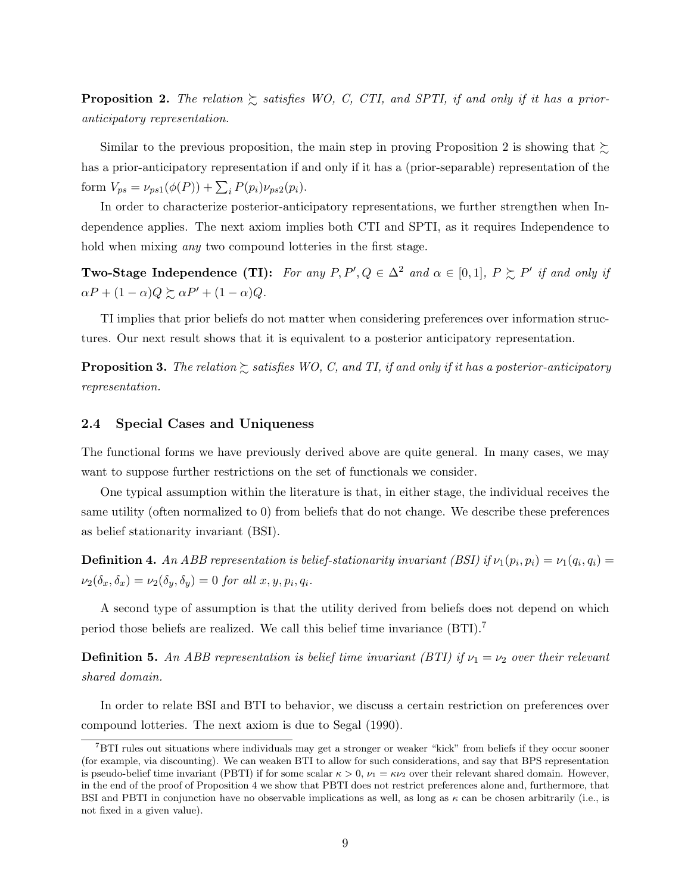**Proposition 2.** The relation  $\geq$  satisfies WO, C, CTI, and SPTI, if and only if it has a prioranticipatory representation.

Similar to the previous proposition, the main step in proving Proposition 2 is showing that  $\succsim$ has a prior-anticipatory representation if and only if it has a (prior-separable) representation of the form  $V_{ps} = \nu_{ps1}(\phi(P)) + \sum_{i} P(p_i)\nu_{ps2}(p_i)$ .

In order to characterize posterior-anticipatory representations, we further strengthen when Independence applies. The next axiom implies both CTI and SPTI, as it requires Independence to hold when mixing *any* two compound lotteries in the first stage.

**Two-Stage Independence (TI):** For any  $P, P', Q \in \Delta^2$  and  $\alpha \in [0, 1], P \succsim P'$  if and only if  $\alpha P + (1 - \alpha)Q \succsim \alpha P' + (1 - \alpha)Q.$ 

TI implies that prior beliefs do not matter when considering preferences over information structures. Our next result shows that it is equivalent to a posterior anticipatory representation.

**Proposition 3.** The relation  $\geq$  satisfies WO, C, and TI, if and only if it has a posterior-anticipatory representation.

#### 2.4 Special Cases and Uniqueness

The functional forms we have previously derived above are quite general. In many cases, we may want to suppose further restrictions on the set of functionals we consider.

One typical assumption within the literature is that, in either stage, the individual receives the same utility (often normalized to 0) from beliefs that do not change. We describe these preferences as belief stationarity invariant (BSI).

**Definition 4.** An ABB representation is belief-stationarity invariant (BSI) if  $\nu_1(p_i, p_i) = \nu_1(q_i, q_i) =$  $\nu_2(\delta_x, \delta_x) = \nu_2(\delta_y, \delta_y) = 0$  for all  $x, y, p_i, q_i$ .

A second type of assumption is that the utility derived from beliefs does not depend on which period those beliefs are realized. We call this belief time invariance (BTI).<sup>7</sup>

**Definition 5.** An ABB representation is belief time invariant (BTI) if  $\nu_1 = \nu_2$  over their relevant shared domain.

In order to relate BSI and BTI to behavior, we discuss a certain restriction on preferences over compound lotteries. The next axiom is due to Segal (1990).

<sup>&</sup>lt;sup>7</sup>BTI rules out situations where individuals may get a stronger or weaker "kick" from beliefs if they occur sooner (for example, via discounting). We can weaken BTI to allow for such considerations, and say that BPS representation is pseudo-belief time invariant (PBTI) if for some scalar  $\kappa > 0$ ,  $\nu_1 = \kappa \nu_2$  over their relevant shared domain. However, in the end of the proof of Proposition 4 we show that PBTI does not restrict preferences alone and, furthermore, that BSI and PBTI in conjunction have no observable implications as well, as long as  $\kappa$  can be chosen arbitrarily (i.e., is not fixed in a given value).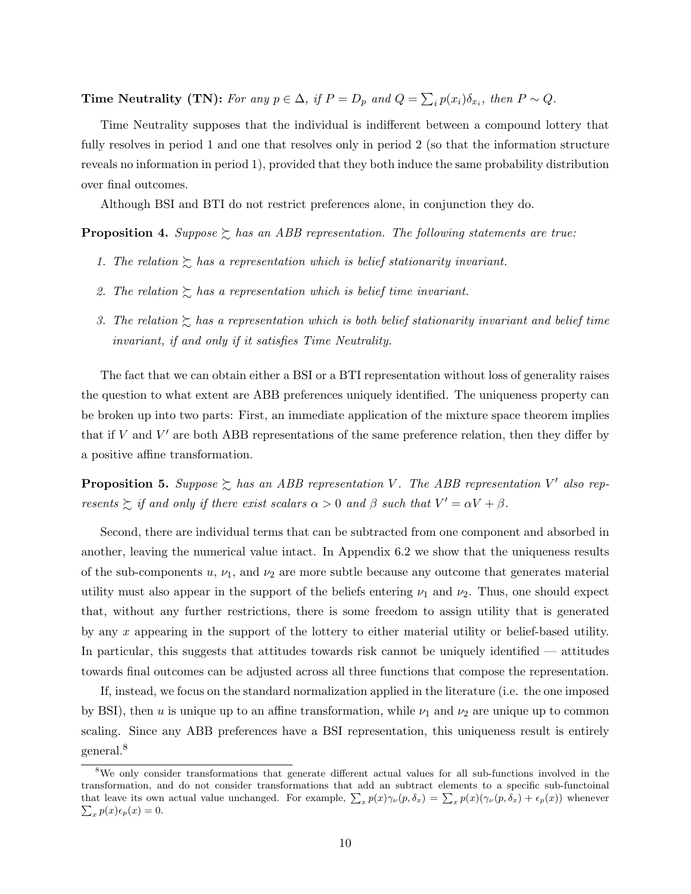Time Neutrality (TN): For any  $p \in \Delta$ , if  $P = D_p$  and  $Q = \sum_i p(x_i) \delta_{x_i}$ , then  $P \sim Q$ .

Time Neutrality supposes that the individual is indifferent between a compound lottery that fully resolves in period 1 and one that resolves only in period 2 (so that the information structure reveals no information in period 1), provided that they both induce the same probability distribution over final outcomes.

Although BSI and BTI do not restrict preferences alone, in conjunction they do.

**Proposition 4.** Suppose  $\succeq$  has an ABB representation. The following statements are true:

- 1. The relation  $\gtrsim$  has a representation which is belief stationarity invariant.
- 2. The relation  $\gtrsim$  has a representation which is belief time invariant.
- 3. The relation  $\gtrsim$  has a representation which is both belief stationarity invariant and belief time invariant, if and only if it satisfies Time Neutrality.

The fact that we can obtain either a BSI or a BTI representation without loss of generality raises the question to what extent are ABB preferences uniquely identified. The uniqueness property can be broken up into two parts: First, an immediate application of the mixture space theorem implies that if  $V$  and  $V'$  are both ABB representations of the same preference relation, then they differ by a positive affine transformation.

**Proposition 5.** Suppose  $\succsim$  has an ABB representation V. The ABB representation V' also represents  $\sum$  if and only if there exist scalars  $\alpha > 0$  and  $\beta$  such that  $V' = \alpha V + \beta$ .

Second, there are individual terms that can be subtracted from one component and absorbed in another, leaving the numerical value intact. In Appendix 6.2 we show that the uniqueness results of the sub-components  $u, \nu_1$ , and  $\nu_2$  are more subtle because any outcome that generates material utility must also appear in the support of the beliefs entering  $\nu_1$  and  $\nu_2$ . Thus, one should expect that, without any further restrictions, there is some freedom to assign utility that is generated by any x appearing in the support of the lottery to either material utility or belief-based utility. In particular, this suggests that attitudes towards risk cannot be uniquely identified — attitudes towards final outcomes can be adjusted across all three functions that compose the representation.

If, instead, we focus on the standard normalization applied in the literature (i.e. the one imposed by BSI), then u is unique up to an affine transformation, while  $\nu_1$  and  $\nu_2$  are unique up to common scaling. Since any ABB preferences have a BSI representation, this uniqueness result is entirely general.<sup>8</sup>

<sup>&</sup>lt;sup>8</sup>We only consider transformations that generate different actual values for all sub-functions involved in the transformation, and do not consider transformations that add an subtract elements to a specific sub-functoinal that leave its own actual value unchanged. For example,  $\sum_x p(x)\gamma_\nu(p,\delta_x) = \sum_x p(x)(\gamma_\nu(p,\delta_x) + \epsilon_p(x))$  whenever  $\sum_x p(x)\epsilon_p(x) = 0$ .  $p(x)\epsilon_p(x)=0.$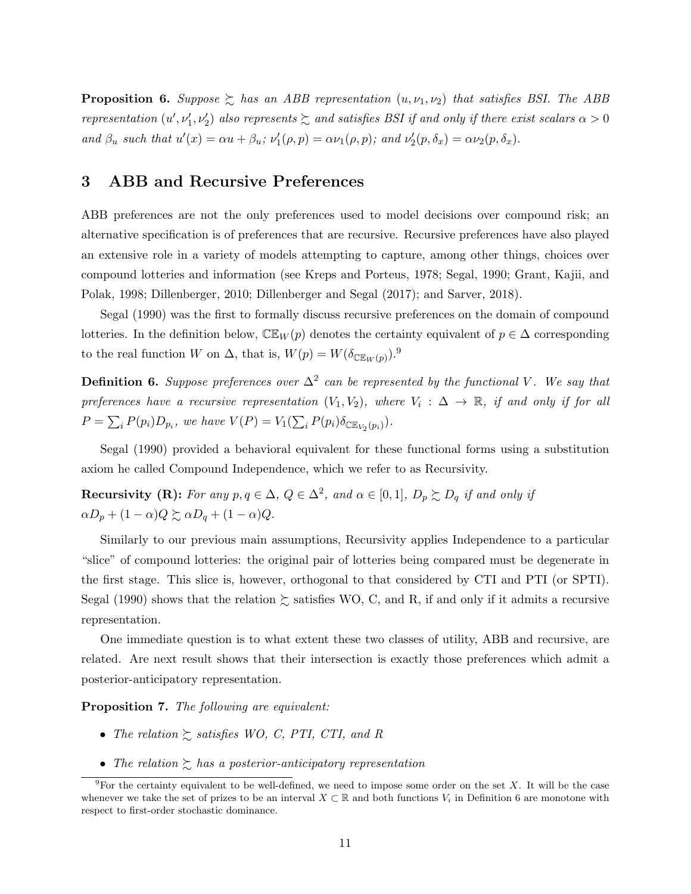**Proposition 6.** Suppose  $\geq$  has an ABB representation  $(u, \nu_1, \nu_2)$  that satisfies BSI. The ABB representation  $(u',\nu'_1,\nu'_2)$  also represents  $\succsim$  and satisfies BSI if and only if there exist scalars  $\alpha > 0$ and  $\beta_u$  such that  $u'(x) = \alpha u + \beta_u$ ;  $\nu'_1(\rho, p) = \alpha \nu_1(\rho, p)$ ; and  $\nu'_2(p, \delta_x) = \alpha \nu_2(p, \delta_x)$ .

# 3 ABB and Recursive Preferences

ABB preferences are not the only preferences used to model decisions over compound risk; an alternative specification is of preferences that are recursive. Recursive preferences have also played an extensive role in a variety of models attempting to capture, among other things, choices over compound lotteries and information (see Kreps and Porteus, 1978; Segal, 1990; Grant, Kajii, and Polak, 1998; Dillenberger, 2010; Dillenberger and Segal (2017); and Sarver, 2018).

Segal (1990) was the first to formally discuss recursive preferences on the domain of compound lotteries. In the definition below,  $\mathbb{CE}_W(p)$  denotes the certainty equivalent of  $p \in \Delta$  corresponding to the real function W on  $\Delta$ , that is,  $W(p) = W(\delta_{\mathbb{CE}_W(p)})$ .<sup>9</sup>

**Definition 6.** Suppose preferences over  $\Delta^2$  can be represented by the functional V. We say that preferences have a recursive representation  $(V_1, V_2)$ , where  $V_i : \Delta \to \mathbb{R}$ , if and only if for all  $P = \sum_i P(p_i) D_{p_i}$ , we have  $V(P) = V_1(\sum_i P(p_i) \delta_{\mathbb{CE}_{V_2}(p_i)})$ .

Segal (1990) provided a behavioral equivalent for these functional forms using a substitution axiom he called Compound Independence, which we refer to as Recursivity.

Recursivity (R): For any  $p, q \in \Delta$ ,  $Q \in \Delta^2$ , and  $\alpha \in [0, 1]$ ,  $D_p \succsim D_q$  if and only if  $\alpha D_p + (1 - \alpha)Q \succsim \alpha D_q + (1 - \alpha)Q.$ 

Similarly to our previous main assumptions, Recursivity applies Independence to a particular "slice" of compound lotteries: the original pair of lotteries being compared must be degenerate in the first stage. This slice is, however, orthogonal to that considered by CTI and PTI (or SPTI). Segal (1990) shows that the relation  $\succsim$  satisfies WO, C, and R, if and only if it admits a recursive representation.

One immediate question is to what extent these two classes of utility, ABB and recursive, are related. Are next result shows that their intersection is exactly those preferences which admit a posterior-anticipatory representation.

Proposition 7. The following are equivalent:

- The relation  $\geq$  satisfies WO, C, PTI, CTI, and R
- The relation  $\sum$  has a posterior-anticipatory representation

<sup>&</sup>lt;sup>9</sup>For the certainty equivalent to be well-defined, we need to impose some order on the set X. It will be the case whenever we take the set of prizes to be an interval  $X \subset \mathbb{R}$  and both functions  $V_i$  in Definition 6 are monotone with respect to first-order stochastic dominance.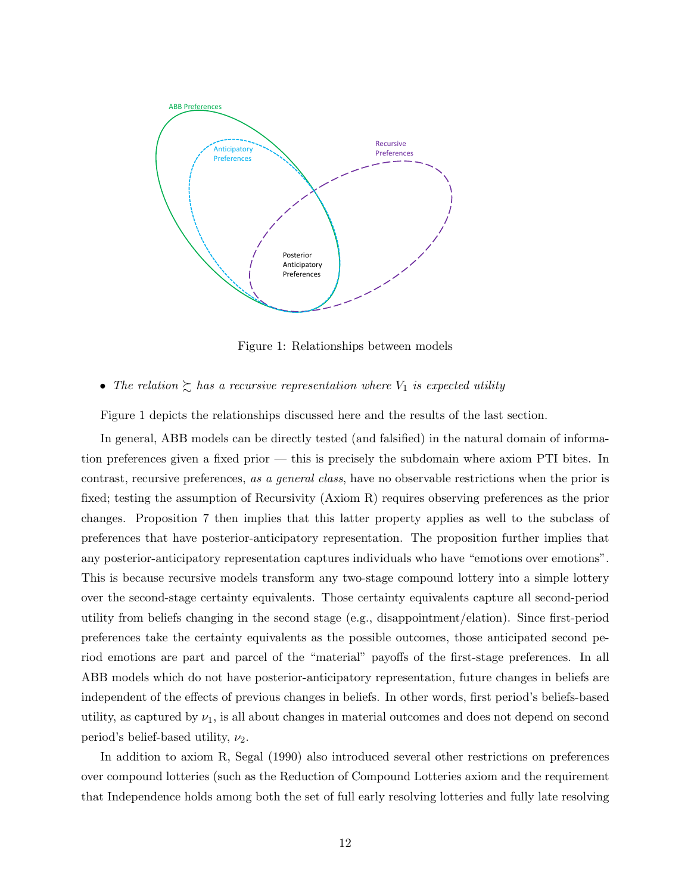

Figure 1: Relationships between models

• The relation  $\sum$  has a recursive representation where  $V_1$  is expected utility

Figure 1 depicts the relationships discussed here and the results of the last section.

In general, ABB models can be directly tested (and falsified) in the natural domain of information preferences given a fixed prior — this is precisely the subdomain where axiom PTI bites. In contrast, recursive preferences, as a general class, have no observable restrictions when the prior is fixed; testing the assumption of Recursivity (Axiom R) requires observing preferences as the prior changes. Proposition 7 then implies that this latter property applies as well to the subclass of preferences that have posterior-anticipatory representation. The proposition further implies that any posterior-anticipatory representation captures individuals who have "emotions over emotions". This is because recursive models transform any two-stage compound lottery into a simple lottery over the second-stage certainty equivalents. Those certainty equivalents capture all second-period utility from beliefs changing in the second stage (e.g., disappointment/elation). Since first-period preferences take the certainty equivalents as the possible outcomes, those anticipated second period emotions are part and parcel of the "material" payoffs of the first-stage preferences. In all ABB models which do not have posterior-anticipatory representation, future changes in beliefs are independent of the effects of previous changes in beliefs. In other words, first period's beliefs-based utility, as captured by  $\nu_1$ , is all about changes in material outcomes and does not depend on second period's belief-based utility,  $\nu_2$ .

In addition to axiom R, Segal (1990) also introduced several other restrictions on preferences over compound lotteries (such as the Reduction of Compound Lotteries axiom and the requirement that Independence holds among both the set of full early resolving lotteries and fully late resolving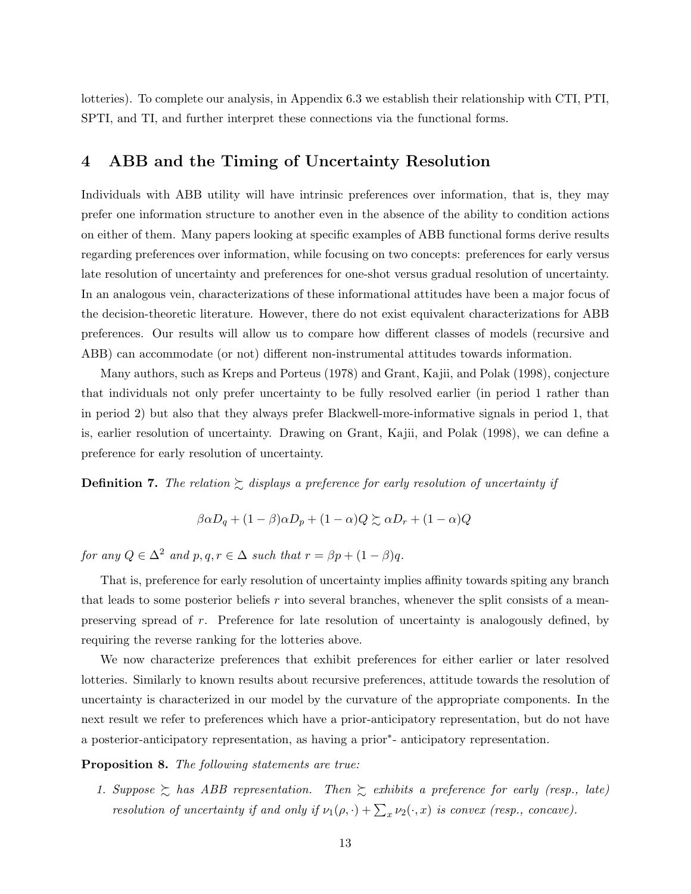lotteries). To complete our analysis, in Appendix 6.3 we establish their relationship with CTI, PTI, SPTI, and TI, and further interpret these connections via the functional forms.

### 4 ABB and the Timing of Uncertainty Resolution

Individuals with ABB utility will have intrinsic preferences over information, that is, they may prefer one information structure to another even in the absence of the ability to condition actions on either of them. Many papers looking at specific examples of ABB functional forms derive results regarding preferences over information, while focusing on two concepts: preferences for early versus late resolution of uncertainty and preferences for one-shot versus gradual resolution of uncertainty. In an analogous vein, characterizations of these informational attitudes have been a major focus of the decision-theoretic literature. However, there do not exist equivalent characterizations for ABB preferences. Our results will allow us to compare how different classes of models (recursive and ABB) can accommodate (or not) different non-instrumental attitudes towards information.

Many authors, such as Kreps and Porteus (1978) and Grant, Kajii, and Polak (1998), conjecture that individuals not only prefer uncertainty to be fully resolved earlier (in period 1 rather than in period 2) but also that they always prefer Blackwell-more-informative signals in period 1, that is, earlier resolution of uncertainty. Drawing on Grant, Kajii, and Polak (1998), we can define a preference for early resolution of uncertainty.

**Definition 7.** The relation  $\sum$  displays a preference for early resolution of uncertainty if

$$
\beta \alpha D_q + (1 - \beta)\alpha D_p + (1 - \alpha)Q \succeq \alpha D_r + (1 - \alpha)Q
$$

for any  $Q \in \Delta^2$  and  $p, q, r \in \Delta$  such that  $r = \beta p + (1 - \beta)q$ .

That is, preference for early resolution of uncertainty implies affinity towards spiting any branch that leads to some posterior beliefs r into several branches, whenever the split consists of a meanpreserving spread of r. Preference for late resolution of uncertainty is analogously defined, by requiring the reverse ranking for the lotteries above.

We now characterize preferences that exhibit preferences for either earlier or later resolved lotteries. Similarly to known results about recursive preferences, attitude towards the resolution of uncertainty is characterized in our model by the curvature of the appropriate components. In the next result we refer to preferences which have a prior-anticipatory representation, but do not have a posterior-anticipatory representation, as having a prior<sup>∗</sup> - anticipatory representation.

Proposition 8. The following statements are true:

1. Suppose  $\gtrsim$  has ABB representation. Then  $\gtrsim$  exhibits a preference for early (resp., late) resolution of uncertainty if and only if  $\nu_1(\rho, \cdot) + \sum_x \nu_2(\cdot, x)$  is convex (resp., concave).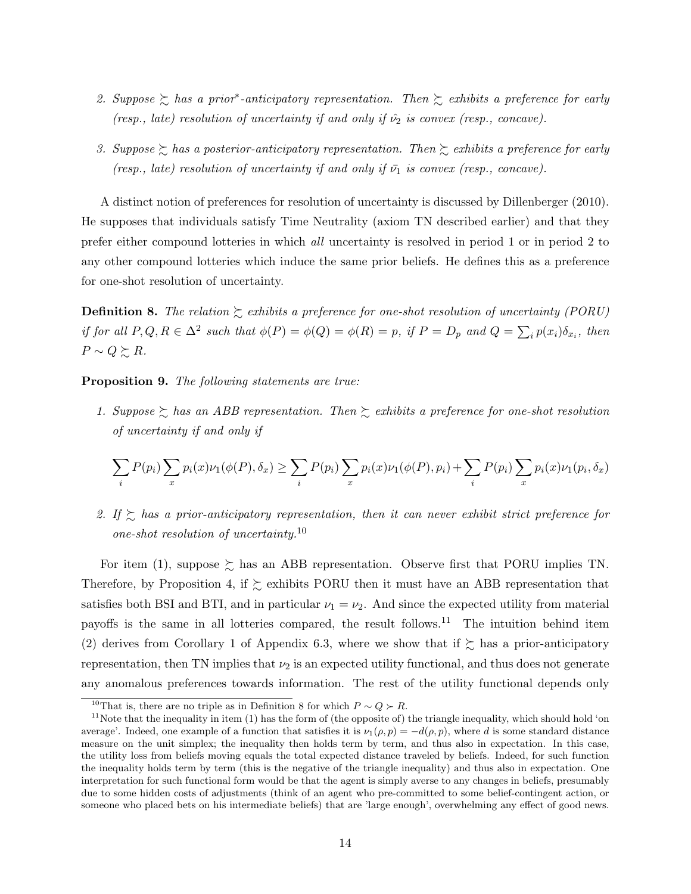- 2. Suppose  $\gtrsim$  has a prior<sup>\*</sup>-anticipatory representation. Then  $\gtrsim$  exhibits a preference for early (resp., late) resolution of uncertainty if and only if  $\hat{\nu}_2$  is convex (resp., concave).
- 3. Suppose  $\succsim$  has a posterior-anticipatory representation. Then  $\succsim$  exhibits a preference for early (resp., late) resolution of uncertainty if and only if  $\bar{\nu_1}$  is convex (resp., concave).

A distinct notion of preferences for resolution of uncertainty is discussed by Dillenberger (2010). He supposes that individuals satisfy Time Neutrality (axiom TN described earlier) and that they prefer either compound lotteries in which all uncertainty is resolved in period 1 or in period 2 to any other compound lotteries which induce the same prior beliefs. He defines this as a preference for one-shot resolution of uncertainty.

**Definition 8.** The relation  $\gtrsim$  exhibits a preference for one-shot resolution of uncertainty (PORU) if for all  $P, Q, R \in \Delta^2$  such that  $\phi(P) = \phi(Q) = \phi(R) = p$ , if  $P = D_p$  and  $Q = \sum_i p(x_i) \delta_{x_i}$ , then  $P \sim Q \succsim R$ .

Proposition 9. The following statements are true:

1. Suppose  $\gtrsim$  has an ABB representation. Then  $\gtrsim$  exhibits a preference for one-shot resolution of uncertainty if and only if

$$
\sum_i P(p_i) \sum_x p_i(x) \nu_1(\phi(P), \delta_x) \ge \sum_i P(p_i) \sum_x p_i(x) \nu_1(\phi(P), p_i) + \sum_i P(p_i) \sum_x p_i(x) \nu_1(p_i, \delta_x)
$$

2. If  $\gtrsim$  has a prior-anticipatory representation, then it can never exhibit strict preference for one-shot resolution of uncertainty.<sup>10</sup>

For item (1), suppose  $\succeq$  has an ABB representation. Observe first that PORU implies TN. Therefore, by Proposition 4, if  $\succsim$  exhibits PORU then it must have an ABB representation that satisfies both BSI and BTI, and in particular  $\nu_1 = \nu_2$ . And since the expected utility from material payoffs is the same in all lotteries compared, the result follows.<sup>11</sup> The intuition behind item (2) derives from Corollary 1 of Appendix 6.3, where we show that if  $\succeq$  has a prior-anticipatory representation, then TN implies that  $\nu_2$  is an expected utility functional, and thus does not generate any anomalous preferences towards information. The rest of the utility functional depends only

<sup>&</sup>lt;sup>10</sup>That is, there are no triple as in Definition 8 for which  $P \sim Q \succ R$ .

<sup>&</sup>lt;sup>11</sup>Note that the inequality in item  $(1)$  has the form of (the opposite of) the triangle inequality, which should hold 'on average'. Indeed, one example of a function that satisfies it is  $\nu_1(\rho, p) = -d(\rho, p)$ , where d is some standard distance measure on the unit simplex; the inequality then holds term by term, and thus also in expectation. In this case, the utility loss from beliefs moving equals the total expected distance traveled by beliefs. Indeed, for such function the inequality holds term by term (this is the negative of the triangle inequality) and thus also in expectation. One interpretation for such functional form would be that the agent is simply averse to any changes in beliefs, presumably due to some hidden costs of adjustments (think of an agent who pre-committed to some belief-contingent action, or someone who placed bets on his intermediate beliefs) that are 'large enough', overwhelming any effect of good news.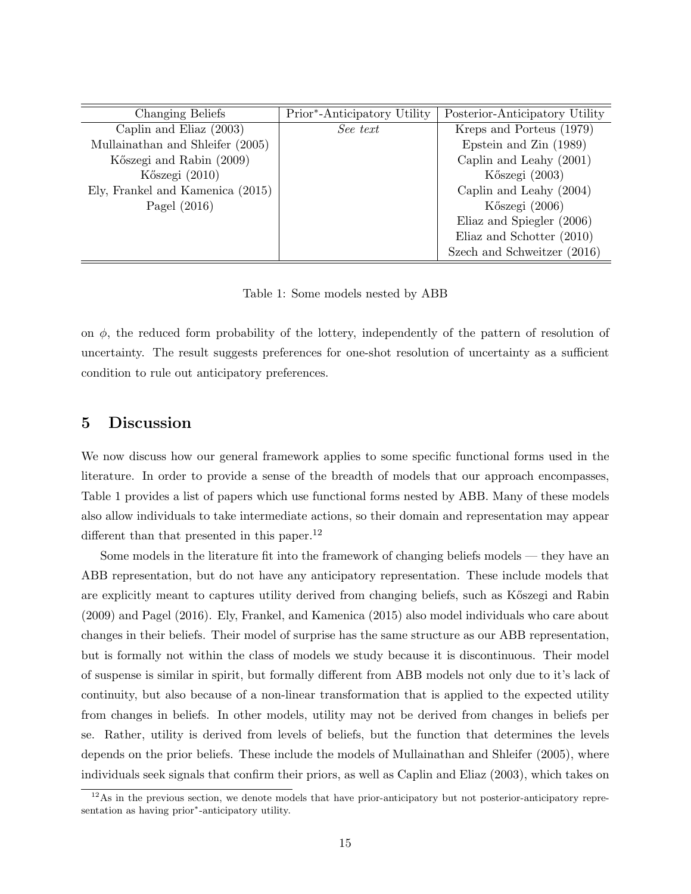| Changing Beliefs                 | Prior*-Anticipatory Utility | Posterior-Anticipatory Utility |
|----------------------------------|-----------------------------|--------------------------------|
| Caplin and Eliaz (2003)          | See text                    | Kreps and Porteus (1979)       |
| Mullainathan and Shleifer (2005) |                             | Epstein and Zin (1989)         |
| Kőszegi and Rabin (2009)         |                             | Caplin and Leahy $(2001)$      |
| Kőszegi (2010)                   |                             | Kőszegi (2003)                 |
| Ely, Frankel and Kamenica (2015) |                             | Caplin and Leahy (2004)        |
| Pagel $(2016)$                   |                             | Kőszegi (2006)                 |
|                                  |                             | Eliaz and Spiegler (2006)      |
|                                  |                             | Eliaz and Schotter $(2010)$    |
|                                  |                             | Szech and Schweitzer (2016)    |

Table 1: Some models nested by ABB

on  $\phi$ , the reduced form probability of the lottery, independently of the pattern of resolution of uncertainty. The result suggests preferences for one-shot resolution of uncertainty as a sufficient condition to rule out anticipatory preferences.

### 5 Discussion

We now discuss how our general framework applies to some specific functional forms used in the literature. In order to provide a sense of the breadth of models that our approach encompasses, Table 1 provides a list of papers which use functional forms nested by ABB. Many of these models also allow individuals to take intermediate actions, so their domain and representation may appear different than that presented in this paper.<sup>12</sup>

Some models in the literature fit into the framework of changing beliefs models — they have an ABB representation, but do not have any anticipatory representation. These include models that are explicitly meant to captures utility derived from changing beliefs, such as Kőszegi and Rabin (2009) and Pagel (2016). Ely, Frankel, and Kamenica (2015) also model individuals who care about changes in their beliefs. Their model of surprise has the same structure as our ABB representation, but is formally not within the class of models we study because it is discontinuous. Their model of suspense is similar in spirit, but formally different from ABB models not only due to it's lack of continuity, but also because of a non-linear transformation that is applied to the expected utility from changes in beliefs. In other models, utility may not be derived from changes in beliefs per se. Rather, utility is derived from levels of beliefs, but the function that determines the levels depends on the prior beliefs. These include the models of Mullainathan and Shleifer (2005), where individuals seek signals that confirm their priors, as well as Caplin and Eliaz (2003), which takes on

 $12\text{As}$  in the previous section, we denote models that have prior-anticipatory but not posterior-anticipatory representation as having prior<sup>\*</sup>-anticipatory utility.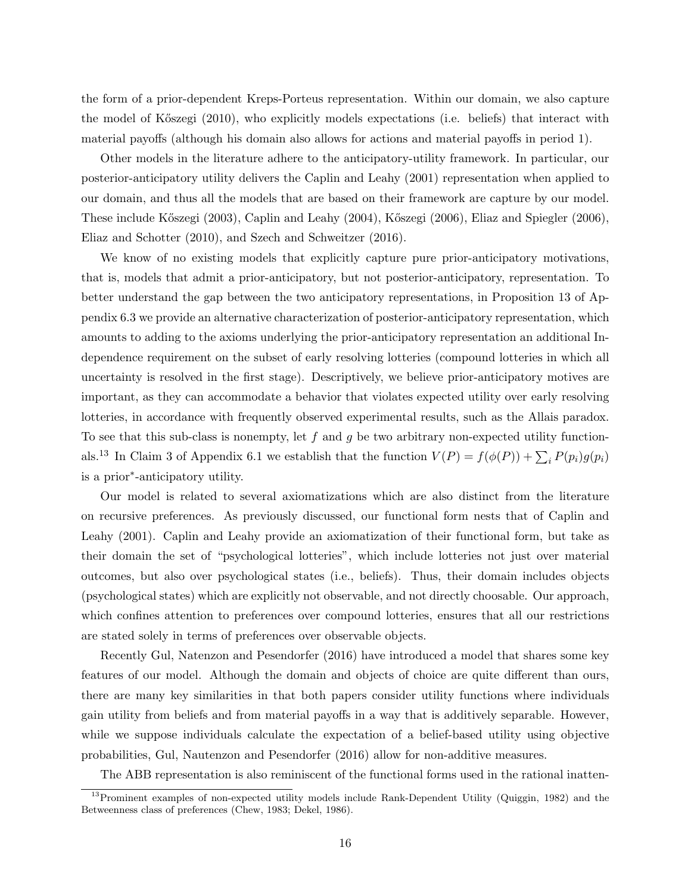the form of a prior-dependent Kreps-Porteus representation. Within our domain, we also capture the model of K˝oszegi (2010), who explicitly models expectations (i.e. beliefs) that interact with material payoffs (although his domain also allows for actions and material payoffs in period 1).

Other models in the literature adhere to the anticipatory-utility framework. In particular, our posterior-anticipatory utility delivers the Caplin and Leahy (2001) representation when applied to our domain, and thus all the models that are based on their framework are capture by our model. These include K˝oszegi (2003), Caplin and Leahy (2004), K˝oszegi (2006), Eliaz and Spiegler (2006), Eliaz and Schotter (2010), and Szech and Schweitzer (2016).

We know of no existing models that explicitly capture pure prior-anticipatory motivations, that is, models that admit a prior-anticipatory, but not posterior-anticipatory, representation. To better understand the gap between the two anticipatory representations, in Proposition 13 of Appendix 6.3 we provide an alternative characterization of posterior-anticipatory representation, which amounts to adding to the axioms underlying the prior-anticipatory representation an additional Independence requirement on the subset of early resolving lotteries (compound lotteries in which all uncertainty is resolved in the first stage). Descriptively, we believe prior-anticipatory motives are important, as they can accommodate a behavior that violates expected utility over early resolving lotteries, in accordance with frequently observed experimental results, such as the Allais paradox. To see that this sub-class is nonempty, let f and g be two arbitrary non-expected utility functionals.<sup>13</sup> In Claim 3 of Appendix 6.1 we establish that the function  $V(P) = f(\phi(P)) + \sum_i P(p_i)g(p_i)$ is a prior<sup>∗</sup> -anticipatory utility.

Our model is related to several axiomatizations which are also distinct from the literature on recursive preferences. As previously discussed, our functional form nests that of Caplin and Leahy (2001). Caplin and Leahy provide an axiomatization of their functional form, but take as their domain the set of "psychological lotteries", which include lotteries not just over material outcomes, but also over psychological states (i.e., beliefs). Thus, their domain includes objects (psychological states) which are explicitly not observable, and not directly choosable. Our approach, which confines attention to preferences over compound lotteries, ensures that all our restrictions are stated solely in terms of preferences over observable objects.

Recently Gul, Natenzon and Pesendorfer (2016) have introduced a model that shares some key features of our model. Although the domain and objects of choice are quite different than ours, there are many key similarities in that both papers consider utility functions where individuals gain utility from beliefs and from material payoffs in a way that is additively separable. However, while we suppose individuals calculate the expectation of a belief-based utility using objective probabilities, Gul, Nautenzon and Pesendorfer (2016) allow for non-additive measures.

The ABB representation is also reminiscent of the functional forms used in the rational inatten-

<sup>13</sup>Prominent examples of non-expected utility models include Rank-Dependent Utility (Quiggin, 1982) and the Betweenness class of preferences (Chew, 1983; Dekel, 1986).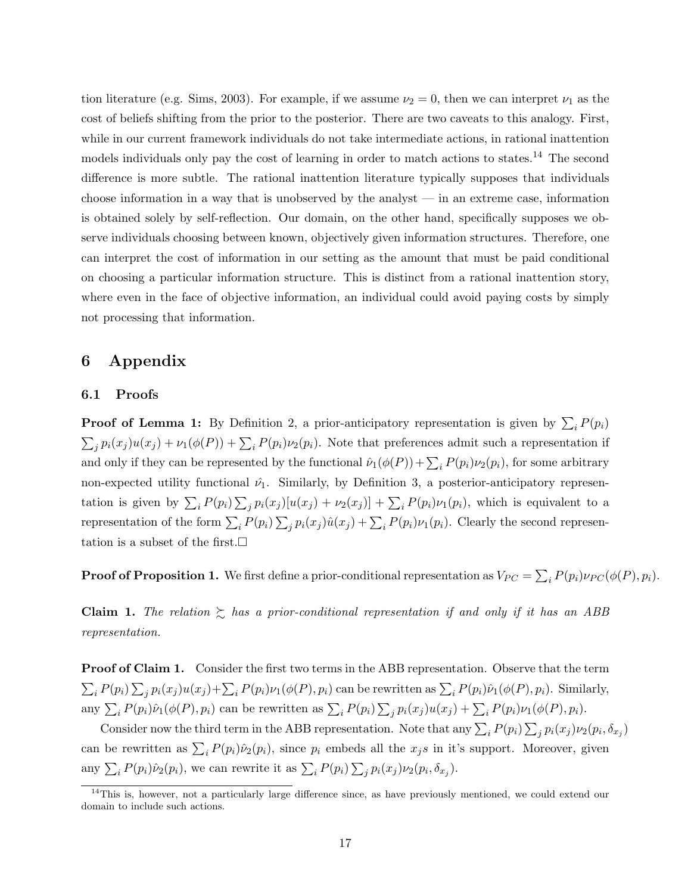tion literature (e.g. Sims, 2003). For example, if we assume  $\nu_2 = 0$ , then we can interpret  $\nu_1$  as the cost of beliefs shifting from the prior to the posterior. There are two caveats to this analogy. First, while in our current framework individuals do not take intermediate actions, in rational inattention models individuals only pay the cost of learning in order to match actions to states.<sup>14</sup> The second difference is more subtle. The rational inattention literature typically supposes that individuals choose information in a way that is unobserved by the analyst — in an extreme case, information is obtained solely by self-reflection. Our domain, on the other hand, specifically supposes we observe individuals choosing between known, objectively given information structures. Therefore, one can interpret the cost of information in our setting as the amount that must be paid conditional on choosing a particular information structure. This is distinct from a rational inattention story, where even in the face of objective information, an individual could avoid paying costs by simply not processing that information.

# 6 Appendix

### 6.1 Proofs

**Proof of Lemma 1:** By Definition 2, a prior-anticipatory representation is given by  $\sum_i P(p_i)$  $\sum_j p_i(x_j)u(x_j) + \nu_1(\phi(P)) + \sum_i P(p_i)\nu_2(p_i)$ . Note that preferences admit such a representation if and only if they can be represented by the functional  $\hat{\nu}_1(\phi(P)) + \sum_i P(p_i)\nu_2(p_i)$ , for some arbitrary non-expected utility functional  $\hat{\nu}_1$ . Similarly, by Definition 3, a posterior-anticipatory representation is given by  $\sum_i P(p_i) \sum_j p_i(x_j)[u(x_j) + \nu_2(x_j)] + \sum_i P(p_i)\nu_1(p_i)$ , which is equivalent to a representation of the form  $\sum_i P(p_i) \sum_j p_i(x_j) \hat{u}(x_j) + \sum_i P(p_i) \nu_1(p_i)$ . Clearly the second representation is a subset of the first.  $\square$ 

**Proof of Proposition 1.** We first define a prior-conditional representation as  $V_{PC} = \sum_i P(p_i) \nu_{PC}(\phi(P), p_i)$ .

**Claim 1.** The relation  $\sum$  has a prior-conditional representation if and only if it has an ABB representation.

Proof of Claim 1. Consider the first two terms in the ABB representation. Observe that the term  $\sum_i P(p_i) \sum_j p_i(x_j) u(x_j) + \sum_i P(p_i) \nu_1(\phi(P), p_i)$  can be rewritten as  $\sum_i P(p_i) \hat{\nu}_1(\phi(P), p_i)$ . Similarly, any  $\sum_i P(p_i) \hat{\nu}_1(\phi(P), p_i)$  can be rewritten as  $\sum_i P(p_i) \sum_j p_i(x_j) u(x_j) + \sum_i P(p_i) \nu_1(\phi(P), p_i)$ .

Consider now the third term in the ABB representation. Note that any  $\sum_i P(p_i) \sum_j p_i(x_j) \nu_2(p_i, \delta_{x_j})$ can be rewritten as  $\sum_i P(p_i)\hat{\nu}_2(p_i)$ , since  $p_i$  embeds all the  $x_js$  in it's support. Moreover, given any  $\sum_i P(p_i)\hat{\nu}_2(p_i)$ , we can rewrite it as  $\sum_i P(p_i) \sum_j p_i(x_j) \nu_2(p_i, \delta_{x_j})$ .

<sup>&</sup>lt;sup>14</sup>This is, however, not a particularly large difference since, as have previously mentioned, we could extend our domain to include such actions.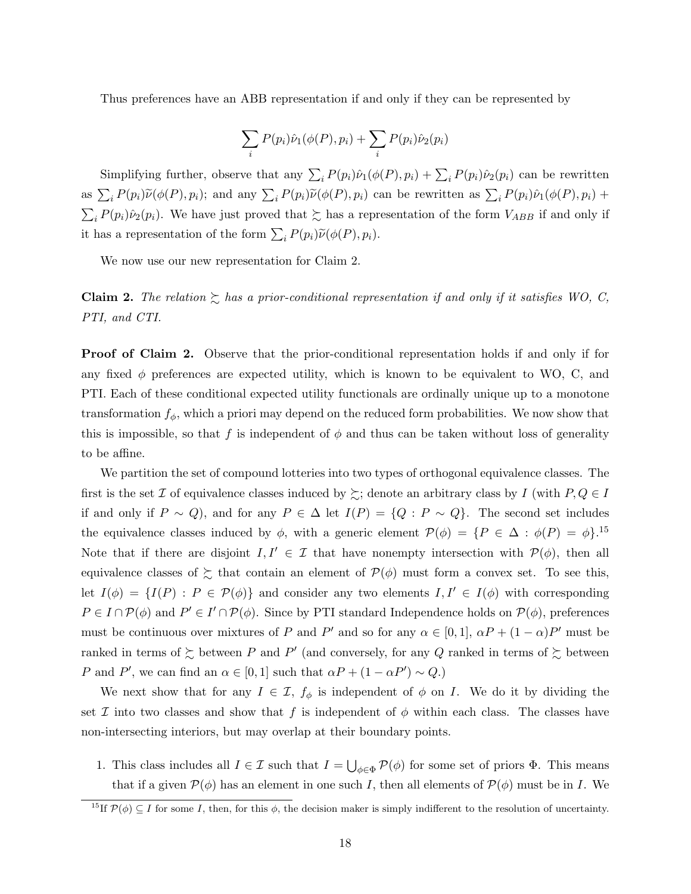Thus preferences have an ABB representation if and only if they can be represented by

$$
\sum_i P(p_i)\hat{\nu}_1(\phi(P), p_i) + \sum_i P(p_i)\hat{\nu}_2(p_i)
$$

Simplifying further, observe that any  $\sum_i P(p_i)\hat{\nu}_1(\phi(P), p_i) + \sum_i P(p_i)\hat{\nu}_2(p_i)$  can be rewritten as  $\sum_i P(p_i) \widetilde{\nu}(\phi(P), p_i)$ ; and any  $\sum_i P(p_i) \widetilde{\nu}(\phi(P), p_i)$  can be rewritten as  $\sum_i P(p_i) \widehat{\nu}_1(\phi(P), p_i)$  +  $\sum_i P(p_i)\hat{\nu}_2(p_i)$ . We have just proved that  $\succsim$  has a representation of the form  $V_{ABB}$  if and only if it has a representation of the form  $\sum_i P(p_i) \widetilde{\nu}(\phi(P), p_i)$ .

We now use our new representation for Claim 2.

Claim 2. The relation  $\gtrsim$  has a prior-conditional representation if and only if it satisfies WO, C, PTI, and CTI.

Proof of Claim 2. Observe that the prior-conditional representation holds if and only if for any fixed  $\phi$  preferences are expected utility, which is known to be equivalent to WO, C, and PTI. Each of these conditional expected utility functionals are ordinally unique up to a monotone transformation  $f_{\phi}$ , which a priori may depend on the reduced form probabilities. We now show that this is impossible, so that f is independent of  $\phi$  and thus can be taken without loss of generality to be affine.

We partition the set of compound lotteries into two types of orthogonal equivalence classes. The first is the set I of equivalence classes induced by  $\succeq$ ; denote an arbitrary class by I (with P,  $Q \in I$ if and only if  $P \sim Q$ , and for any  $P \in \Delta$  let  $I(P) = \{Q : P \sim Q\}$ . The second set includes the equivalence classes induced by  $\phi$ , with a generic element  $\mathcal{P}(\phi) = \{P \in \Delta : \phi(P) = \phi\}.$ <sup>15</sup> Note that if there are disjoint  $I, I' \in \mathcal{I}$  that have nonempty intersection with  $\mathcal{P}(\phi)$ , then all equivalence classes of  $\gtrsim$  that contain an element of  $\mathcal{P}(\phi)$  must form a convex set. To see this, let  $I(\phi) = \{I(P) : P \in \mathcal{P}(\phi)\}\$ and consider any two elements  $I, I' \in I(\phi)$  with corresponding  $P \in I \cap \mathcal{P}(\phi)$  and  $P' \in I' \cap \mathcal{P}(\phi)$ . Since by PTI standard Independence holds on  $\mathcal{P}(\phi)$ , preferences must be continuous over mixtures of P and P' and so for any  $\alpha \in [0,1]$ ,  $\alpha P + (1-\alpha)P'$  must be ranked in terms of  $\gtrsim$  between P and P' (and conversely, for any Q ranked in terms of  $\gtrsim$  between P and P', we can find an  $\alpha \in [0,1]$  such that  $\alpha P + (1 - \alpha P') \sim Q$ .

We next show that for any  $I \in \mathcal{I}$ ,  $f_{\phi}$  is independent of  $\phi$  on I. We do it by dividing the set I into two classes and show that f is independent of  $\phi$  within each class. The classes have non-intersecting interiors, but may overlap at their boundary points.

1. This class includes all  $I \in \mathcal{I}$  such that  $I = \bigcup_{\phi \in \Phi} \mathcal{P}(\phi)$  for some set of priors  $\Phi$ . This means that if a given  $\mathcal{P}(\phi)$  has an element in one such I, then all elements of  $\mathcal{P}(\phi)$  must be in I. We

<sup>&</sup>lt;sup>15</sup>If  $\mathcal{P}(\phi) \subseteq I$  for some I, then, for this  $\phi$ , the decision maker is simply indifferent to the resolution of uncertainty.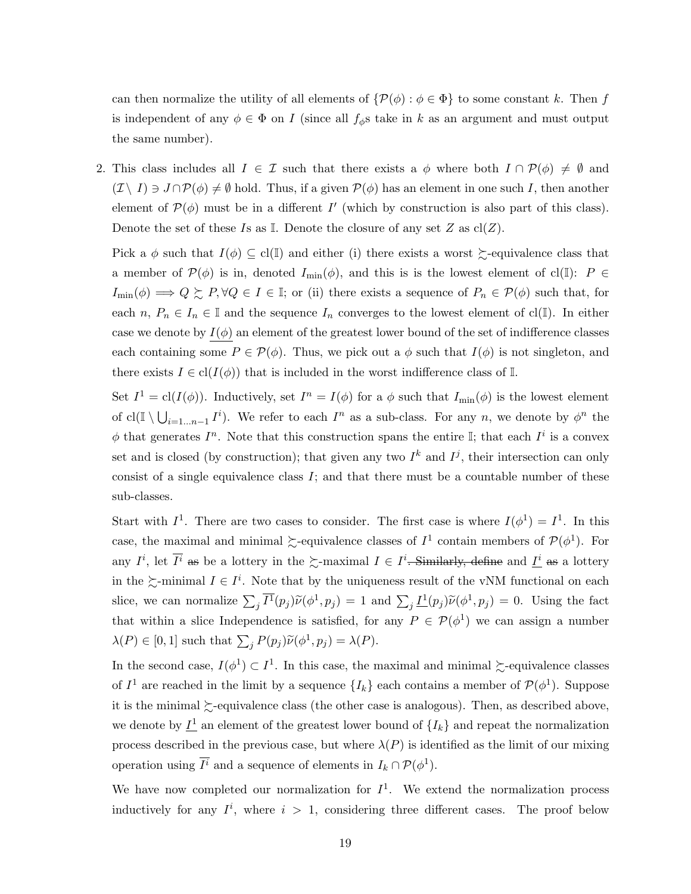can then normalize the utility of all elements of  $\{\mathcal{P}(\phi): \phi \in \Phi\}$  to some constant k. Then f is independent of any  $\phi \in \Phi$  on I (since all  $f_{\phi}$ s take in k as an argument and must output the same number).

2. This class includes all  $I \in \mathcal{I}$  such that there exists a  $\phi$  where both  $I \cap \mathcal{P}(\phi) \neq \emptyset$  and  $(\mathcal{I} \setminus I) \ni J \cap \mathcal{P}(\phi) \neq \emptyset$  hold. Thus, if a given  $\mathcal{P}(\phi)$  has an element in one such I, then another element of  $\mathcal{P}(\phi)$  must be in a different I' (which by construction is also part of this class). Denote the set of these Is as I. Denote the closure of any set  $Z$  as  $cl(Z)$ .

Pick a  $\phi$  such that  $I(\phi) \subseteq cl(\mathbb{I})$  and either (i) there exists a worst  $\succeq$ -equivalence class that a member of  $\mathcal{P}(\phi)$  is in, denoted  $I_{\min}(\phi)$ , and this is is the lowest element of cl(I):  $P \in$  $I_{\text{min}}(\phi) \Longrightarrow Q \succsim P, \forall Q \in I \in \mathbb{I}$ ; or (ii) there exists a sequence of  $P_n \in \mathcal{P}(\phi)$  such that, for each  $n, P_n \in I_n \in \mathbb{I}$  and the sequence  $I_n$  converges to the lowest element of cl(I). In either case we denote by  $I(\phi)$  an element of the greatest lower bound of the set of indifference classes each containing some  $P \in \mathcal{P}(\phi)$ . Thus, we pick out a  $\phi$  such that  $I(\phi)$  is not singleton, and there exists  $I \in \text{cl}(I(\phi))$  that is included in the worst indifference class of I.

Set  $I^1 = \text{cl}(I(\phi))$ . Inductively, set  $I^n = I(\phi)$  for a  $\phi$  such that  $I_{\text{min}}(\phi)$  is the lowest element of  $\text{cl}(\mathbb{I} \setminus \bigcup_{i=1...n-1} I^i)$ . We refer to each  $I^n$  as a sub-class. For any n, we denote by  $\phi^n$  the  $\phi$  that generates  $I^n$ . Note that this construction spans the entire I; that each  $I^i$  is a convex set and is closed (by construction); that given any two  $I^k$  and  $I^j$ , their intersection can only consist of a single equivalence class  $I$ ; and that there must be a countable number of these sub-classes.

Start with  $I^1$ . There are two cases to consider. The first case is where  $I(\phi^1) = I^1$ . In this case, the maximal and minimal  $\succsim$ -equivalence classes of  $I^1$  contain members of  $\mathcal{P}(\phi^1)$ . For any  $I^i$ , let  $\overline{I^i}$  as be a lottery in the  $\succsim$ -maximal  $I \in I^i$ -Similarly, define and  $\underline{I^i}$  as a lottery in the  $\succeq$ -minimal  $I \in I^i$ . Note that by the uniqueness result of the vNM functional on each slice, we can normalize  $\sum_j \overline{I^1}(p_j) \widetilde{\nu}(\phi^1, p_j) = 1$  and  $\sum_j \underline{I^1}(p_j) \widetilde{\nu}(\phi^1, p_j) = 0$ . Using the fact that within a slice Independence is satisfied, for any  $P \in \mathcal{P}(\phi^1)$  we can assign a number  $\lambda(P) \in [0,1]$  such that  $\sum_j P(p_j) \widetilde{\nu}(\phi^1, p_j) = \lambda(P)$ .

In the second case,  $I(\phi^1) \subset I^1$ . In this case, the maximal and minimal  $\succsim$ -equivalence classes of  $I^1$  are reached in the limit by a sequence  $\{I_k\}$  each contains a member of  $\mathcal{P}(\phi^1)$ . Suppose it is the minimal  $\succeq$ -equivalence class (the other case is analogous). Then, as described above, we denote by  $\underline{I}^1$  an element of the greatest lower bound of  $\{I_k\}$  and repeat the normalization process described in the previous case, but where  $\lambda(P)$  is identified as the limit of our mixing operation using  $\overline{I}^i$  and a sequence of elements in  $I_k \cap \mathcal{P}(\phi^1)$ .

We have now completed our normalization for  $I^1$ . We extend the normalization process inductively for any  $I^i$ , where  $i > 1$ , considering three different cases. The proof below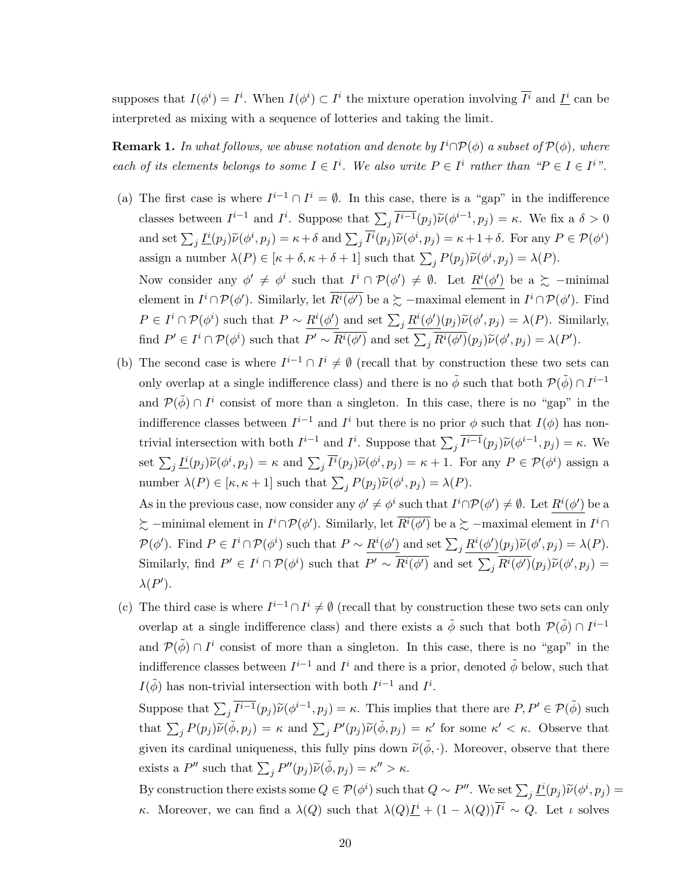supposes that  $I(\phi^i) = I^i$ . When  $I(\phi^i) \subset I^i$  the mixture operation involving  $\overline{I^i}$  and  $\underline{I^i}$  can be interpreted as mixing with a sequence of lotteries and taking the limit.

**Remark 1.** In what follows, we abuse notation and denote by  $I^i \cap \mathcal{P}(\phi)$  a subset of  $\mathcal{P}(\phi)$ , where each of its elements belongs to some  $I \in I^i$ . We also write  $P \in I^i$  rather than " $P \in I \in I^{i}$ ".

- (a) The first case is where  $I^{i-1} \cap I^i = \emptyset$ . In this case, there is a "gap" in the indifference classes between  $I^{i-1}$  and  $I^i$ . Suppose that  $\sum_j \overline{I^{i-1}}(p_j) \widetilde{\nu}(\phi^{i-1}, p_j) = \kappa$ . We fix a  $\delta > 0$ and set  $\sum_j \underline{I^i}(p_j) \widetilde{\nu}(\phi^i, p_j) = \kappa + \delta$  and  $\sum_j \overline{I^i}(p_j) \widetilde{\nu}(\phi^i, p_j) = \kappa + 1 + \delta$ . For any  $P \in \mathcal{P}(\phi^i)$ assign a number  $\lambda(P) \in [\kappa + \delta, \kappa + \delta + 1]$  such that  $\sum_j P(p_j) \widetilde{\nu}(\phi^i, p_j) = \lambda(P)$ . Now consider any  $\phi' \neq \phi^i$  such that  $I^i \cap \mathcal{P}(\phi') \neq \emptyset$ . Let  $R^i(\phi')$  be a  $\succeq$  -minimal element in  $I^i \cap \mathcal{P}(\phi')$ . Similarly, let  $\overline{R^i(\phi')}$  be a  $\succsim$  -maximal element in  $I^i \cap \mathcal{P}(\phi')$ . Find  $P \in I^i \cap \mathcal{P}(\phi^i)$  such that  $P \sim \frac{R^i(\phi')}{\phi^i}$  and set  $\sum_j \frac{R^i(\phi')}{\phi^j}$   $(p_j) \widetilde{\nu}(\phi', p_j) = \lambda(P)$ . Similarly, find  $P' \in I^i \cap \mathcal{P}(\phi^i)$  such that  $P' \sim \overline{R^i(\phi')}$  and set  $\sum_j \overline{R^i(\phi')} (p_j) \widetilde{\nu}(\phi', p_j) = \lambda(P').$
- (b) The second case is where  $I^{i-1} \cap I^i \neq \emptyset$  (recall that by construction these two sets can only overlap at a single indifference class) and there is no  $\tilde{\phi}$  such that both  $\mathcal{P}(\tilde{\phi}) \cap I^{i-1}$ and  $\mathcal{P}(\tilde{\phi}) \cap I^i$  consist of more than a singleton. In this case, there is no "gap" in the indifference classes between  $I^{i-1}$  and  $I^i$  but there is no prior  $\phi$  such that  $I(\phi)$  has nontrivial intersection with both  $I^{i-1}$  and  $I^i$ . Suppose that  $\sum_j \overline{I^{i-1}}(p_j) \widetilde{\nu}(\phi^{i-1}, p_j) = \kappa$ . We set  $\sum_j \underline{I^i}(p_j) \widetilde{\nu}(\phi^i, p_j) = \kappa$  and  $\sum_j \overline{I^i}(p_j) \widetilde{\nu}(\phi^i, p_j) = \kappa + 1$ . For any  $P \in \mathcal{P}(\phi^i)$  assign a number  $\lambda(P) \in [\kappa, \kappa + 1]$  such that  $\sum_j P(p_j) \widetilde{\nu}(\phi^i, p_j) = \lambda(P)$ .

As in the previous case, now consider any  $\phi' \neq \phi^i$  such that  $I^i \cap \mathcal{P}(\phi') \neq \emptyset$ . Let  $R^i(\phi')$  be a  $\sum$  –minimal element in  $I^i \cap \mathcal{P}(\phi')$ . Similarly, let  $\overline{R^i(\phi')}$  be a  $\succsim$  –maximal element in  $I^i \cap$  $\mathcal{P}(\phi')$ . Find  $P \in I^i \cap \mathcal{P}(\phi^i)$  such that  $P \sim \frac{R^i(\phi')}{\phi^i}$  and set  $\sum_j \frac{R^i(\phi')}{\phi^j}$   $\mathcal{P}(\phi', p_j) = \lambda(P)$ . Similarly, find  $P' \in I^i \cap \mathcal{P}(\phi^i)$  such that  $P' \sim \overline{R^i(\phi')}$  and set  $\sum_j \overline{R^i(\phi')} (p_j) \widetilde{\nu}(\phi', p_j) =$  $\lambda(P')$ .

(c) The third case is where  $I^{i-1} \cap I^i \neq \emptyset$  (recall that by construction these two sets can only overlap at a single indifference class) and there exists a  $\tilde{\phi}$  such that both  $\mathcal{P}(\tilde{\phi}) \cap I^{i-1}$ and  $\mathcal{P}(\tilde{\phi}) \cap I^i$  consist of more than a singleton. In this case, there is no "gap" in the indifference classes between  $I^{i-1}$  and  $I^i$  and there is a prior, denoted  $\tilde{\phi}$  below, such that  $I(\tilde{\phi})$  has non-trivial intersection with both  $I^{i-1}$  and  $I^i$ .

Suppose that  $\sum_j \overline{I^{i-1}}(p_j) \widetilde{\nu}(\phi^{i-1}, p_j) = \kappa$ . This implies that there are  $P, P' \in \mathcal{P}(\tilde{\phi})$  such that  $\sum_j P(p_j) \widetilde{\nu}(\widetilde{\phi}, p_j) = \kappa$  and  $\sum_j P'(p_j) \widetilde{\nu}(\widetilde{\phi}, p_j) = \kappa'$  for some  $\kappa' < \kappa$ . Observe that given its cardinal uniqueness, this fully pins down  $\tilde{\nu}(\tilde{\phi}, \cdot)$ . Moreover, observe that there exists a  $P''$  such that  $\sum_j P''(p_j) \widetilde{\nu}(\widetilde{\phi}, p_j) = \kappa'' > \kappa$ .

By construction there exists some  $Q \in \mathcal{P}(\phi^i)$  such that  $Q \sim P''$ . We set  $\sum_j \underline{I}^i(p_j) \widetilde{\nu}(\phi^i, p_j) =$ κ. Moreover, we can find a  $\lambda(Q)$  such that  $\lambda(Q)\underline{I^i} + (1 - \lambda(Q))\overline{I^i} \sim Q$ . Let  $\iota$  solves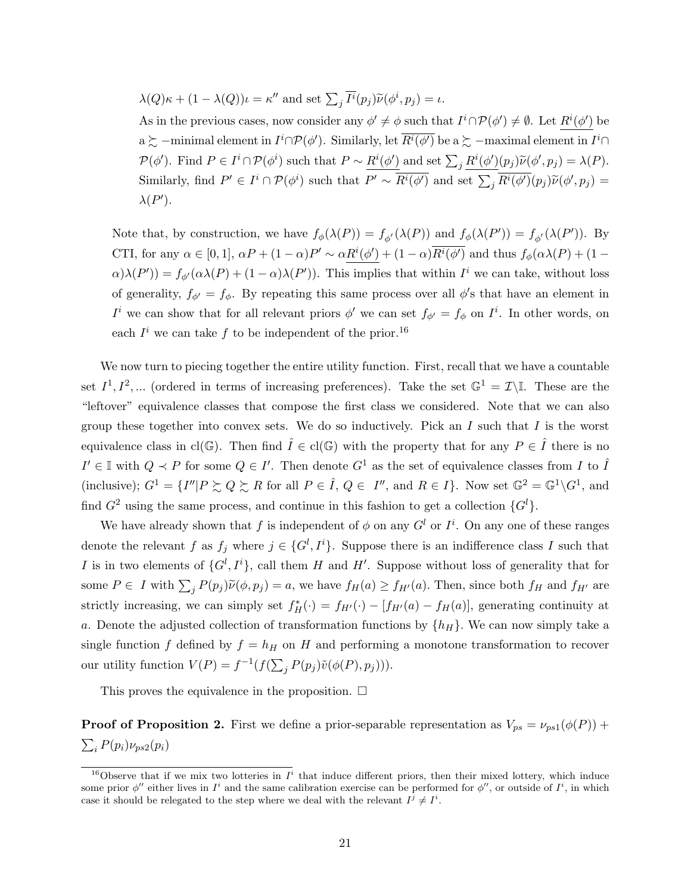$\lambda(Q)\kappa + (1 - \lambda(Q))\iota = \kappa''$  and set  $\sum_j \overline{I^i}(p_j)\widetilde{\nu}(\phi^i, p_j) = \iota$ .

As in the previous cases, now consider any  $\phi' \neq \phi$  such that  $I^i \cap \mathcal{P}(\phi') \neq \emptyset$ . Let  $R^i(\phi')$  be  $a \succsim$  –minimal element in  $I^i \cap \mathcal{P}(\phi')$ . Similarly, let  $\overline{R^i(\phi')}$  be  $a \succsim$  –maximal element in  $I^i \cap$  $\mathcal{P}(\phi')$ . Find  $P \in I^i \cap \mathcal{P}(\phi^i)$  such that  $P \sim \frac{R^i(\phi')}{\phi^i}$  and set  $\sum_j \frac{R^i(\phi')}{\phi^j}$   $(\phi'_j, \phi'_j) = \lambda(P)$ . Similarly, find  $P' \in I^i \cap \mathcal{P}(\phi^i)$  such that  $P' \sim \overline{R^i(\phi')}$  and set  $\sum_j \overline{R^i(\phi')} (p_j) \widetilde{\nu}(\phi', p_j) =$  $\lambda(P')$ .

Note that, by construction, we have  $f_{\phi}(\lambda(P)) = f_{\phi'}(\lambda(P))$  and  $f_{\phi}(\lambda(P')) = f_{\phi'}(\lambda(P'))$ . By CTI, for any  $\alpha \in [0,1], \alpha P + (1-\alpha)P' \sim \alpha R^{i}(\phi') + (1-\alpha)R^{i}(\phi')$  and thus  $f_{\phi}(\alpha \lambda(P) + (1-\alpha)P')$  $\alpha(\lambda(P')) = f_{\phi'}(\alpha\lambda(P) + (1-\alpha)\lambda(P'))$ . This implies that within  $I^i$  we can take, without loss of generality,  $f_{\phi'} = f_{\phi}$ . By repeating this same process over all  $\phi'$ s that have an element in  $I^i$  we can show that for all relevant priors  $\phi'$  we can set  $f_{\phi'} = f_{\phi}$  on  $I^i$ . In other words, on each  $I^i$  we can take f to be independent of the prior.<sup>16</sup>

We now turn to piecing together the entire utility function. First, recall that we have a countable set  $I^1, I^2, \dots$  (ordered in terms of increasing preferences). Take the set  $\mathbb{G}^1 = \mathcal{I}\backslash\mathbb{I}$ . These are the "leftover" equivalence classes that compose the first class we considered. Note that we can also group these together into convex sets. We do so inductively. Pick an  $I$  such that  $I$  is the worst equivalence class in cl( $\mathbb{G}$ ). Then find  $\hat{I} \in \text{cl}(\mathbb{G})$  with the property that for any  $P \in \hat{I}$  there is no  $I' \in \mathbb{I}$  with  $Q \prec P$  for some  $Q \in I'$ . Then denote  $G^1$  as the set of equivalence classes from I to  $\hat{I}$ (inclusive);  $G^1 = \{I''|P \succsim Q \succsim R$  for all  $P \in \hat{I}, Q \in I''$ , and  $R \in I\}$ . Now set  $\mathbb{G}^2 = \mathbb{G}^1 \backslash G^1$ , and find  $G^2$  using the same process, and continue in this fashion to get a collection  $\{G^l\}$ .

We have already shown that f is independent of  $\phi$  on any  $G^l$  or  $I^i$ . On any one of these ranges denote the relevant f as  $f_j$  where  $j \in \{G^l, I^i\}$ . Suppose there is an indifference class I such that I is in two elements of  $\{G^l, I^i\}$ , call them H and H'. Suppose without loss of generality that for some  $P \in I$  with  $\sum_j P(p_j) \widetilde{\nu}(\phi, p_j) = a$ , we have  $f_H(a) \ge f_{H'}(a)$ . Then, since both  $f_H$  and  $f_{H'}$  are strictly increasing, we can simply set  $f^*_{H}(\cdot) = f_{H'}(\cdot) - [f_{H'}(a) - f_{H}(a)]$ , generating continuity at a. Denote the adjusted collection of transformation functions by  $\{h_H\}$ . We can now simply take a single function f defined by  $f = h_H$  on H and performing a monotone transformation to recover our utility function  $V(P) = f^{-1}(f(\sum_j P(p_j)\tilde{v}(\phi(P), p_j))).$ 

This proves the equivalence in the proposition.  $\Box$ 

**Proof of Proposition 2.** First we define a prior-separable representation as  $V_{ps} = \nu_{ps1}(\phi(P))$  +  $\sum_i P(p_i) \nu_{ps2}(p_i)$ 

<sup>&</sup>lt;sup>16</sup>Observe that if we mix two lotteries in  $I^i$  that induce different priors, then their mixed lottery, which induce some prior  $\phi''$  either lives in  $I^i$  and the same calibration exercise can be performed for  $\phi''$ , or outside of  $I^i$ , in which case it should be relegated to the step where we deal with the relevant  $I^j \neq I^i$ .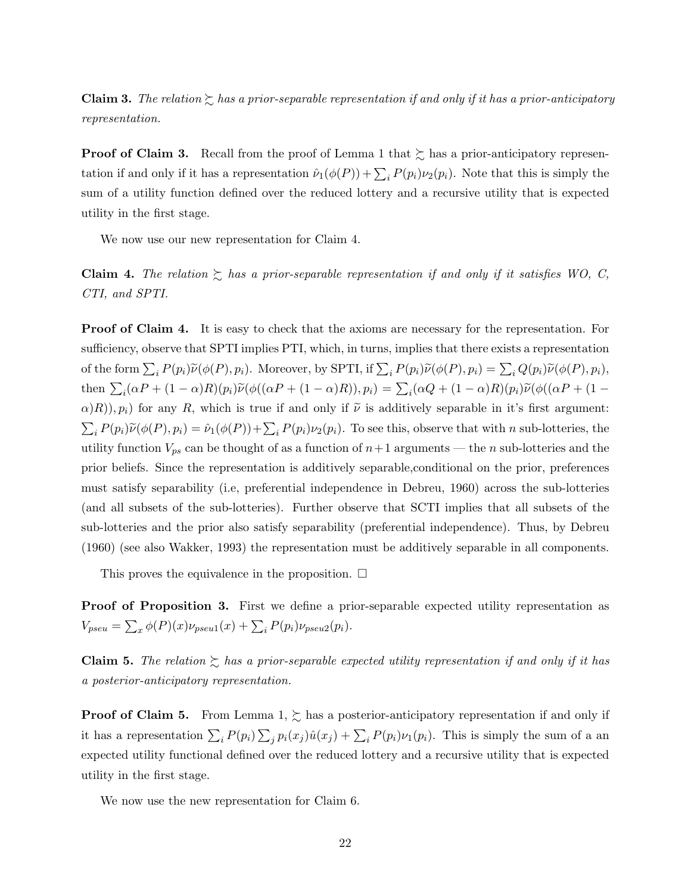**Claim 3.** The relation  $\geq$  has a prior-separable representation if and only if it has a prior-anticipatory representation.

**Proof of Claim 3.** Recall from the proof of Lemma 1 that  $\succeq$  has a prior-anticipatory representation if and only if it has a representation  $\hat{\nu}_1(\phi(P)) + \sum_i P(p_i)\nu_2(p_i)$ . Note that this is simply the sum of a utility function defined over the reduced lottery and a recursive utility that is expected utility in the first stage.

We now use our new representation for Claim 4.

Claim 4. The relation  $\gtrsim$  has a prior-separable representation if and only if it satisfies WO, C, CTI, and SPTI.

Proof of Claim 4. It is easy to check that the axioms are necessary for the representation. For sufficiency, observe that SPTI implies PTI, which, in turns, implies that there exists a representation of the form  $\sum_i P(p_i) \widetilde{\nu}(\phi(P), p_i)$ . Moreover, by SPTI, if  $\sum_i P(p_i) \widetilde{\nu}(\phi(P), p_i) = \sum_i Q(p_i) \widetilde{\nu}(\phi(P), p_i)$ , then  $\sum_i(\alpha P + (1 - \alpha)R)(p_i)\widetilde{\nu}(\phi((\alpha P + (1 - \alpha)R)), p_i) = \sum_i(\alpha Q + (1 - \alpha)R)(p_i)\widetilde{\nu}(\phi((\alpha P + (1 - \alpha)R))$  $\alpha(R), p_i$  for any R, which is true if and only if  $\tilde{\nu}$  is additively separable in it's first argument:  $\sum_i P(p_i) \widetilde{\nu}(\phi(P), p_i) = \widehat{\nu}_1(\phi(P)) + \sum_i P(p_i) \nu_2(p_i)$ . To see this, observe that with n sub-lotteries, the utility function  $V_{ps}$  can be thought of as a function of  $n+1$  arguments — the n sub-lotteries and the prior beliefs. Since the representation is additively separable,conditional on the prior, preferences must satisfy separability (i.e, preferential independence in Debreu, 1960) across the sub-lotteries (and all subsets of the sub-lotteries). Further observe that SCTI implies that all subsets of the sub-lotteries and the prior also satisfy separability (preferential independence). Thus, by Debreu (1960) (see also Wakker, 1993) the representation must be additively separable in all components.

This proves the equivalence in the proposition.  $\Box$ 

Proof of Proposition 3. First we define a prior-separable expected utility representation as  $V_{pseu} = \sum_x \phi(P)(x)\nu_{pseu1}(x) + \sum_i P(p_i)\nu_{pseu2}(p_i).$ 

**Claim 5.** The relation  $\sum$  has a prior-separable expected utility representation if and only if it has a posterior-anticipatory representation.

**Proof of Claim 5.** From Lemma 1,  $\succsim$  has a posterior-anticipatory representation if and only if it has a representation  $\sum_i P(p_i) \sum_j p_i(x_j) \hat{u}(x_j) + \sum_i P(p_i) \nu_1(p_i)$ . This is simply the sum of a an expected utility functional defined over the reduced lottery and a recursive utility that is expected utility in the first stage.

We now use the new representation for Claim 6.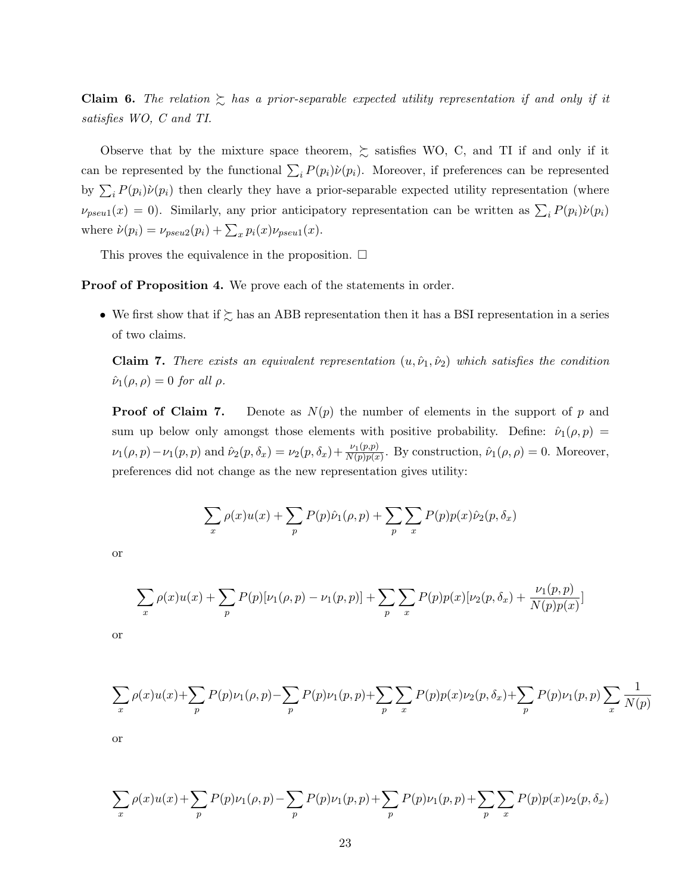**Claim 6.** The relation  $\sum$  has a prior-separable expected utility representation if and only if it satisfies WO, C and TI.

Observe that by the mixture space theorem,  $\gtrsim$  satisfies WO, C, and TI if and only if it can be represented by the functional  $\sum_i P(p_i) \dot{\nu}(p_i)$ . Moreover, if preferences can be represented by  $\sum_i P(p_i) \dot{\nu}(p_i)$  then clearly they have a prior-separable expected utility representation (where  $\nu_{pseu1}(x) = 0$ ). Similarly, any prior anticipatory representation can be written as  $\sum_i P(p_i)\dot{\nu}(p_i)$ where  $\dot{\nu}(p_i) = \nu_{pseu2}(p_i) + \sum_x p_i(x)\nu_{pseu1}(x)$ .

This proves the equivalence in the proposition.  $\Box$ 

Proof of Proposition 4. We prove each of the statements in order.

• We first show that if  $\succsim$  has an ABB representation then it has a BSI representation in a series of two claims.

Claim 7. There exists an equivalent representation  $(u, \hat{\nu}_1, \hat{\nu}_2)$  which satisfies the condition  $\hat{\nu}_1(\rho,\rho) = 0$  for all  $\rho$ .

**Proof of Claim 7.** Denote as  $N(p)$  the number of elements in the support of p and sum up below only amongst those elements with positive probability. Define:  $\hat{v}_1(\rho, p)$  =  $\nu_1(\rho, p) - \nu_1(p, p)$  and  $\hat{\nu}_2(p, \delta_x) = \nu_2(p, \delta_x) + \frac{\nu_1(p, p)}{N(p)p(x)}$ . By construction,  $\hat{\nu}_1(\rho, \rho) = 0$ . Moreover, preferences did not change as the new representation gives utility:

$$
\sum_{x} \rho(x)u(x) + \sum_{p} P(p)\hat{\nu}_1(\rho, p) + \sum_{p} \sum_{x} P(p)p(x)\hat{\nu}_2(p, \delta_x)
$$

or

$$
\sum_{x} \rho(x)u(x) + \sum_{p} P(p)[\nu_1(\rho, p) - \nu_1(p, p)] + \sum_{p} \sum_{x} P(p)p(x)[\nu_2(p, \delta_x) + \frac{\nu_1(p, p)}{N(p)p(x)}]
$$

or

$$
\sum_{x} \rho(x)u(x) + \sum_{p} P(p)\nu_1(\rho, p) - \sum_{p} P(p)\nu_1(p, p) + \sum_{p} \sum_{x} P(p)p(x)\nu_2(p, \delta_x) + \sum_{p} P(p)\nu_1(p, p) \sum_{x} \frac{1}{N(p)}
$$

or

$$
\sum_{x} \rho(x)u(x) + \sum_{p} P(p)\nu_1(\rho, p) - \sum_{p} P(p)\nu_1(p, p) + \sum_{p} P(p)\nu_1(p, p) + \sum_{p} \sum_{x} P(p)p(x)\nu_2(p, \delta_x)
$$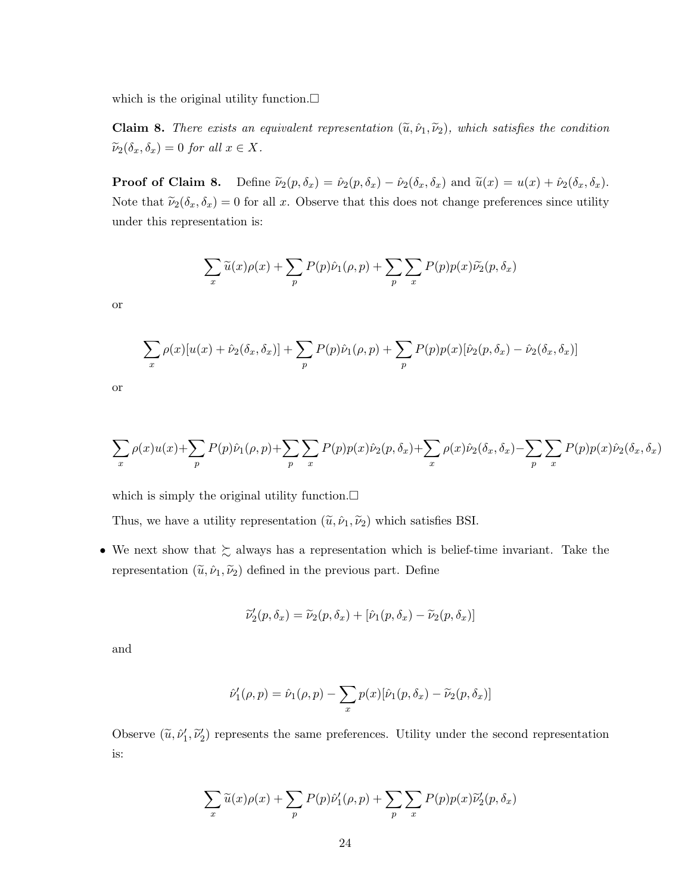which is the original utility function. $\Box$ 

**Claim 8.** There exists an equivalent representation  $(\tilde{u}, \hat{\nu}_1, \tilde{\nu}_2)$ , which satisfies the condition  $\widetilde{\nu}_2(\delta_x, \delta_x) = 0$  for all  $x \in X$ .

**Proof of Claim 8.** Define  $\tilde{\nu}_2(p, \delta_x) = \hat{\nu}_2(p, \delta_x) - \hat{\nu}_2(\delta_x, \delta_x)$  and  $\tilde{u}(x) = u(x) + \hat{\nu}_2(\delta_x, \delta_x)$ . Note that  $\tilde{\nu}_2(\delta_x, \delta_x) = 0$  for all x. Observe that this does not change preferences since utility under this representation is:

$$
\sum_{x} \widetilde{u}(x)\rho(x) + \sum_{p} P(p)\hat{\nu}_1(\rho, p) + \sum_{p} \sum_{x} P(p)p(x)\widetilde{\nu}_2(p, \delta_x)
$$

or

$$
\sum_{x} \rho(x)[u(x) + \hat{\nu}_2(\delta_x, \delta_x)] + \sum_{p} P(p)\hat{\nu}_1(\rho, p) + \sum_{p} P(p)p(x)[\hat{\nu}_2(p, \delta_x) - \hat{\nu}_2(\delta_x, \delta_x)]
$$

or

$$
\sum_{x} \rho(x)u(x) + \sum_{p} P(p)\hat{\nu}_1(\rho, p) + \sum_{p} \sum_{x} P(p)p(x)\hat{\nu}_2(p, \delta_x) + \sum_{x} \rho(x)\hat{\nu}_2(\delta_x, \delta_x) - \sum_{p} \sum_{x} P(p)p(x)\hat{\nu}_2(\delta_x, \delta_x)
$$

which is simply the original utility function.  $\Box$ 

Thus, we have a utility representation  $(\tilde{u}, \hat{\nu}_1, \tilde{\nu}_2)$  which satisfies BSI.

• We next show that  $\succsim$  always has a representation which is belief-time invariant. Take the representation  $(\tilde{u}, \tilde{\nu}_1, \tilde{\nu}_2)$  defined in the previous part. Define

$$
\widetilde{\nu}'_2(p,\delta_x) = \widetilde{\nu}_2(p,\delta_x) + [\hat{\nu}_1(p,\delta_x) - \widetilde{\nu}_2(p,\delta_x)]
$$

and

$$
\hat{\nu}'_1(\rho,p) = \hat{\nu}_1(\rho,p) - \sum_x p(x) [\hat{\nu}_1(p,\delta_x) - \widetilde{\nu}_2(p,\delta_x)]
$$

Observe  $(\tilde{u}, \tilde{\nu}'_1, \tilde{\nu}'_2)$  represents the same preferences. Utility under the second representation is:

$$
\sum_{x} \widetilde{u}(x)\rho(x) + \sum_{p} P(p)\hat{\nu}'_1(\rho, p) + \sum_{p} \sum_{x} P(p)p(x)\widetilde{\nu}'_2(p, \delta_x)
$$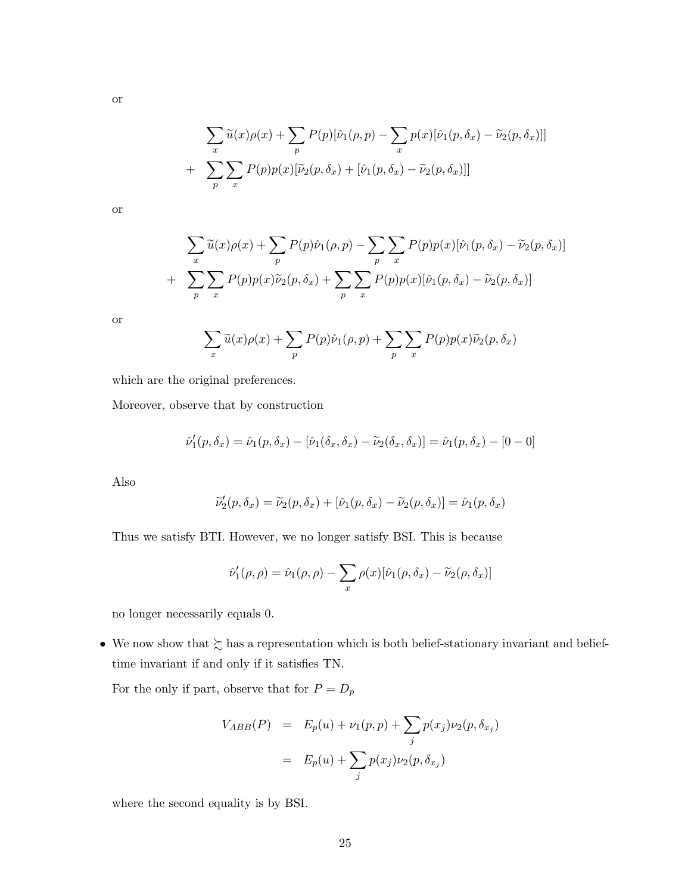$$
\sum_{x} \widetilde{u}(x)\rho(x) + \sum_{p} P(p)[\hat{\nu}_1(\rho, p) - \sum_{x} p(x)[\hat{\nu}_1(p, \delta_x) - \widetilde{\nu}_2(p, \delta_x)]]
$$
  
+ 
$$
\sum_{p} \sum_{x} P(p)p(x)[\widetilde{\nu}_2(p, \delta_x) + [\hat{\nu}_1(p, \delta_x) - \widetilde{\nu}_2(p, \delta_x)]]
$$

or

or

$$
\sum_{x} \widetilde{u}(x)\rho(x) + \sum_{p} P(p)\widehat{\nu}_{1}(\rho, p) - \sum_{p} \sum_{x} P(p)p(x)[\widehat{\nu}_{1}(p, \delta_{x}) - \widetilde{\nu}_{2}(p, \delta_{x})]
$$

$$
+ \sum_{p} \sum_{x} P(p)p(x)\widetilde{\nu}_{2}(p, \delta_{x}) + \sum_{p} \sum_{x} P(p)p(x)[\widehat{\nu}_{1}(p, \delta_{x}) - \widetilde{\nu}_{2}(p, \delta_{x})]
$$

or

$$
\sum_{x} \widetilde{u}(x)\rho(x) + \sum_{p} P(p)\hat{\nu}_1(\rho, p) + \sum_{p} \sum_{x} P(p)p(x)\widetilde{\nu}_2(p, \delta_x)
$$

which are the original preferences.

Moreover, observe that by construction

$$
\hat{\nu}'_1(p, \delta_x) = \hat{\nu}_1(p, \delta_x) - [\hat{\nu}_1(\delta_x, \delta_x) - \tilde{\nu}_2(\delta_x, \delta_x)] = \hat{\nu}_1(p, \delta_x) - [0 - 0]
$$

Also

$$
\widetilde{\nu}'_2(p,\delta_x) = \widetilde{\nu}_2(p,\delta_x) + [\hat{\nu}_1(p,\delta_x) - \widetilde{\nu}_2(p,\delta_x)] = \hat{\nu}_1(p,\delta_x)
$$

Thus we satisfy BTI. However, we no longer satisfy BSI. This is because

$$
\hat{\nu}'_1(\rho,\rho) = \hat{\nu}_1(\rho,\rho) - \sum_x \rho(x) [\hat{\nu}_1(\rho,\delta_x) - \widetilde{\nu}_2(\rho,\delta_x)]
$$

no longer necessarily equals 0.

• We now show that  $\succsim$  has a representation which is both belief-stationary invariant and belieftime invariant if and only if it satisfies TN.

For the only if part, observe that for  ${\cal P} = {\cal D}_p$ 

$$
V_{ABB}(P) = E_p(u) + \nu_1(p, p) + \sum_j p(x_j)\nu_2(p, \delta_{x_j})
$$
  
=  $E_p(u) + \sum_j p(x_j)\nu_2(p, \delta_{x_j})$ 

where the second equality is by BSI.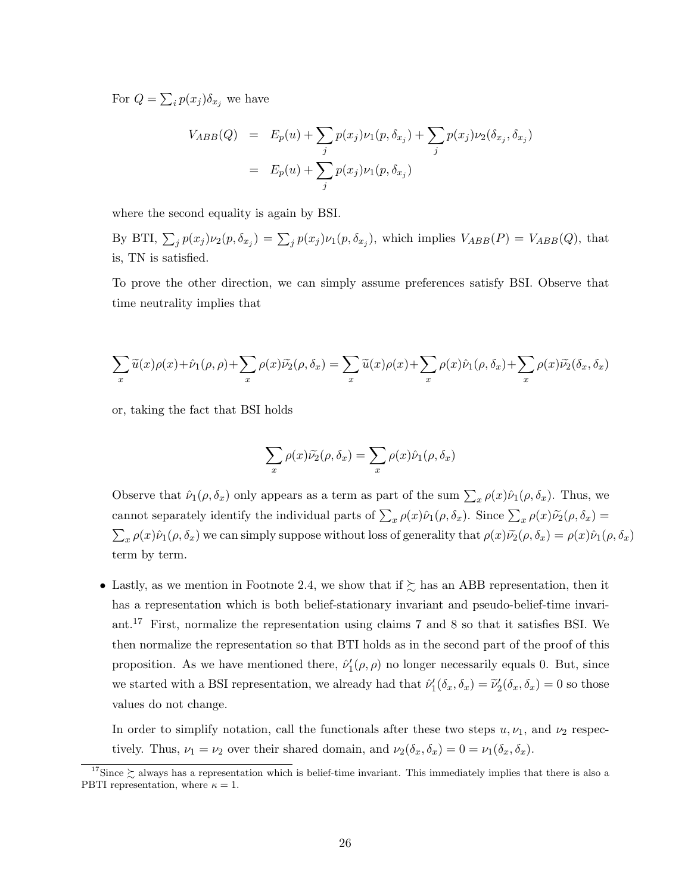For  $Q = \sum_i p(x_i) \delta_{x_i}$  we have

$$
V_{ABB}(Q) = E_p(u) + \sum_j p(x_j) \nu_1(p, \delta_{x_j}) + \sum_j p(x_j) \nu_2(\delta_{x_j}, \delta_{x_j})
$$
  
=  $E_p(u) + \sum_j p(x_j) \nu_1(p, \delta_{x_j})$ 

where the second equality is again by BSI.

By BTI,  $\sum_j p(x_j) \nu_2(p, \delta_{x_j}) = \sum_j p(x_j) \nu_1(p, \delta_{x_j})$ , which implies  $V_{ABB}(P) = V_{ABB}(Q)$ , that is, TN is satisfied.

To prove the other direction, we can simply assume preferences satisfy BSI. Observe that time neutrality implies that

$$
\sum_{x} \widetilde{u}(x)\rho(x) + \widehat{\nu}_1(\rho,\rho) + \sum_{x} \rho(x)\widetilde{\nu}_2(\rho,\delta_x) = \sum_{x} \widetilde{u}(x)\rho(x) + \sum_{x} \rho(x)\widehat{\nu}_1(\rho,\delta_x) + \sum_{x} \rho(x)\widetilde{\nu}_2(\delta_x,\delta_x)
$$

or, taking the fact that BSI holds

$$
\sum_{x} \rho(x)\tilde{\nu_2}(\rho,\delta_x) = \sum_{x} \rho(x)\hat{\nu_1}(\rho,\delta_x)
$$

Observe that  $\hat{\nu}_1(\rho, \delta_x)$  only appears as a term as part of the sum  $\sum_x \rho(x)\hat{\nu}_1(\rho, \delta_x)$ . Thus, we cannot separately identify the individual parts of  $\sum_{x} \rho(x)\hat{\nu}_1(\rho, \delta_x)$ . Since  $\sum_{x} \rho(x)\tilde{\nu}_2(\rho, \delta_x)$  =  $\sum_x \rho(x)\hat{\nu}_1(\rho, \delta_x)$  we can simply suppose without loss of generality that  $\rho(x)\tilde{\nu}_2(\rho, \delta_x) = \rho(x)\hat{\nu}_1(\rho, \delta_x)$ term by term.

• Lastly, as we mention in Footnote 2.4, we show that if  $\succsim$  has an ABB representation, then it has a representation which is both belief-stationary invariant and pseudo-belief-time invariant.<sup>17</sup> First, normalize the representation using claims 7 and 8 so that it satisfies BSI. We then normalize the representation so that BTI holds as in the second part of the proof of this proposition. As we have mentioned there,  $\hat{\nu}'_1(\rho,\rho)$  no longer necessarily equals 0. But, since we started with a BSI representation, we already had that  $\hat{\nu}'_1(\delta_x, \delta_x) = \tilde{\nu}'_2(\delta_x, \delta_x) = 0$  so those values do not change.

In order to simplify notation, call the functionals after these two steps  $u, \nu_1$ , and  $\nu_2$  respectively. Thus,  $\nu_1 = \nu_2$  over their shared domain, and  $\nu_2(\delta_x, \delta_x) = 0 = \nu_1(\delta_x, \delta_x)$ .

<sup>&</sup>lt;sup>17</sup>Since  $\succsim$  always has a representation which is belief-time invariant. This immediately implies that there is also a PBTI representation, where  $\kappa = 1$ .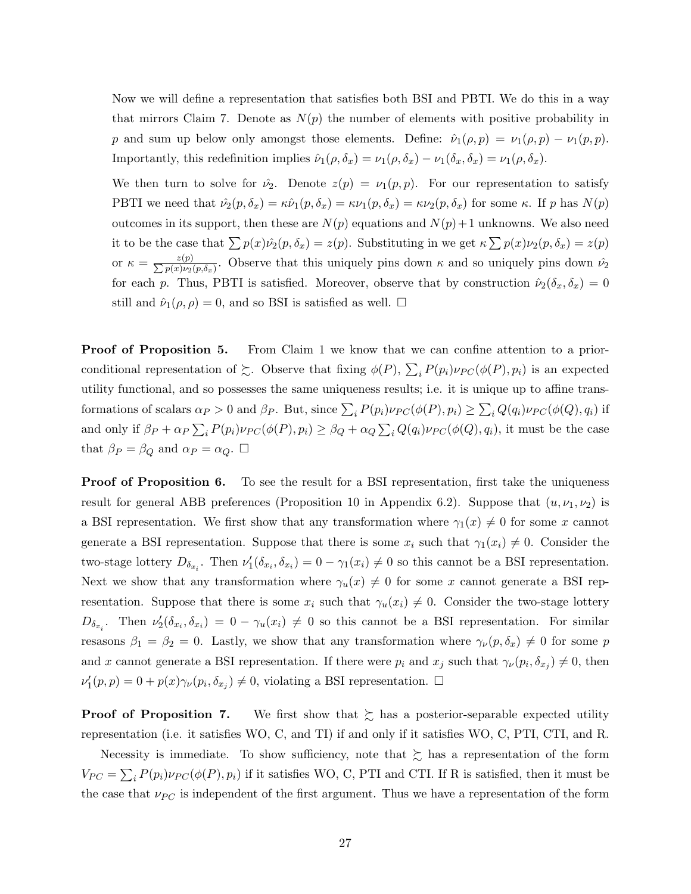Now we will define a representation that satisfies both BSI and PBTI. We do this in a way that mirrors Claim 7. Denote as  $N(p)$  the number of elements with positive probability in p and sum up below only amongst those elements. Define:  $\hat{\nu}_1(\rho, p) = \nu_1(\rho, p) - \nu_1(p, p)$ . Importantly, this redefinition implies  $\hat{\nu}_1(\rho, \delta_x) = \nu_1(\rho, \delta_x) - \nu_1(\delta_x, \delta_x) = \nu_1(\rho, \delta_x)$ .

We then turn to solve for  $\hat{\nu}_2$ . Denote  $z(p) = \nu_1(p, p)$ . For our representation to satisfy PBTI we need that  $\hat{\nu}_2(p, \delta_x) = \kappa \hat{\nu}_1(p, \delta_x) = \kappa \nu_1(p, \delta_x) = \kappa \nu_2(p, \delta_x)$  for some  $\kappa$ . If p has  $N(p)$ outcomes in its support, then these are  $N(p)$  equations and  $N(p)+1$  unknowns. We also need it to be the case that  $\sum p(x)\hat{\nu_2}(p,\delta_x) = z(p)$ . Substituting in we get  $\kappa \sum p(x)\nu_2(p,\delta_x) = z(p)$ or  $\kappa = \frac{z(p)}{\sum p(x)\nu_2(p,\delta_x)}$ . Observe that this uniquely pins down  $\kappa$  and so uniquely pins down  $\hat{\nu}_2$ for each p. Thus, PBTI is satisfied. Moreover, observe that by construction  $\hat{\nu}_2(\delta_x, \delta_x) = 0$ still and  $\hat{\nu}_1(\rho, \rho) = 0$ , and so BSI is satisfied as well.  $\Box$ 

**Proof of Proposition 5.** From Claim 1 we know that we can confine attention to a priorconditional representation of  $\gtrsim$ . Observe that fixing  $\phi(P)$ ,  $\sum_i P(p_i)\nu_{PC}(\phi(P), p_i)$  is an expected utility functional, and so possesses the same uniqueness results; i.e. it is unique up to affine transformations of scalars  $\alpha_P > 0$  and  $\beta_P$ . But, since  $\sum_i P(p_i)\nu_{PC}(\phi(P), p_i) \ge \sum_i Q(q_i)\nu_{PC}(\phi(Q), q_i)$  if and only if  $\beta_P + \alpha_P \sum_i P(p_i) \nu_{PC}(\phi(P), p_i) \ge \beta_Q + \alpha_Q \sum_i Q(q_i) \nu_{PC}(\phi(Q), q_i)$ , it must be the case that  $\beta_P = \beta_Q$  and  $\alpha_P = \alpha_Q$ .  $\Box$ 

**Proof of Proposition 6.** To see the result for a BSI representation, first take the uniqueness result for general ABB preferences (Proposition 10 in Appendix 6.2). Suppose that  $(u, \nu_1, \nu_2)$  is a BSI representation. We first show that any transformation where  $\gamma_1(x) \neq 0$  for some x cannot generate a BSI representation. Suppose that there is some  $x_i$  such that  $\gamma_1(x_i) \neq 0$ . Consider the two-stage lottery  $D_{\delta_{x_i}}$ . Then  $\nu'_1(\delta_{x_i}, \delta_{x_i}) = 0 - \gamma_1(x_i) \neq 0$  so this cannot be a BSI representation. Next we show that any transformation where  $\gamma_u(x) \neq 0$  for some x cannot generate a BSI representation. Suppose that there is some  $x_i$  such that  $\gamma_u(x_i) \neq 0$ . Consider the two-stage lottery  $D_{\delta_{x_i}}$ . Then  $\nu'_2(\delta_{x_i}, \delta_{x_i}) = 0 - \gamma_u(x_i) \neq 0$  so this cannot be a BSI representation. For similar resasons  $\beta_1 = \beta_2 = 0$ . Lastly, we show that any transformation where  $\gamma_\nu(p, \delta_x) \neq 0$  for some p and x cannot generate a BSI representation. If there were  $p_i$  and  $x_j$  such that  $\gamma_\nu(p_i, \delta_{x_j}) \neq 0$ , then  $\nu'_1(p,p) = 0 + p(x)\gamma_\nu(p_i, \delta_{x_j}) \neq 0$ , violating a BSI representation.  $\Box$ 

**Proof of Proposition 7.** We first show that  $\geq$  has a posterior-separable expected utility representation (i.e. it satisfies WO, C, and TI) if and only if it satisfies WO, C, PTI, CTI, and R.

Necessity is immediate. To show sufficiency, note that  $\gtrsim$  has a representation of the form  $V_{PC} = \sum_i P(p_i) \nu_{PC}(\phi(P), p_i)$  if it satisfies WO, C, PTI and CTI. If R is satisfied, then it must be the case that  $\nu_{PC}$  is independent of the first argument. Thus we have a representation of the form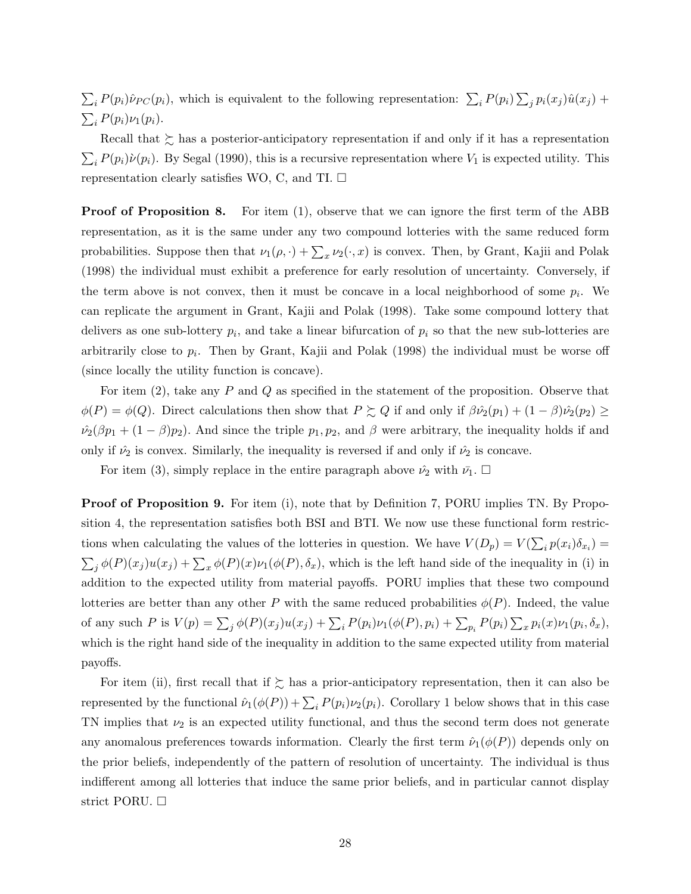$\sum_i P(p_i) \hat{\nu}_{PC}(p_i)$ , which is equivalent to the following representation:  $\sum_i P(p_i) \sum_j p_i(x_j) \hat{u}(x_j)$  +  $\sum_i P(p_i)\nu_1(p_i).$ 

Recall that  $\gtrsim$  has a posterior-anticipatory representation if and only if it has a representation  $\sum_i P(p_i) \dot{\nu}(p_i)$ . By Segal (1990), this is a recursive representation where  $V_1$  is expected utility. This representation clearly satisfies WO, C, and TI.  $\Box$ 

**Proof of Proposition 8.** For item (1), observe that we can ignore the first term of the ABB representation, as it is the same under any two compound lotteries with the same reduced form probabilities. Suppose then that  $\nu_1(\rho, \cdot) + \sum_x \nu_2(\cdot, x)$  is convex. Then, by Grant, Kajii and Polak (1998) the individual must exhibit a preference for early resolution of uncertainty. Conversely, if the term above is not convex, then it must be concave in a local neighborhood of some  $p_i$ . We can replicate the argument in Grant, Kajii and Polak (1998). Take some compound lottery that delivers as one sub-lottery  $p_i$ , and take a linear bifurcation of  $p_i$  so that the new sub-lotteries are arbitrarily close to  $p_i$ . Then by Grant, Kajii and Polak (1998) the individual must be worse off (since locally the utility function is concave).

For item  $(2)$ , take any P and Q as specified in the statement of the proposition. Observe that  $\phi(P) = \phi(Q)$ . Direct calculations then show that  $P \succsim Q$  if and only if  $\beta \hat{\nu_2}(p_1) + (1 - \beta)\hat{\nu_2}(p_2) \ge$  $\hat{\nu}_2(\beta p_1 + (1 - \beta)p_2)$ . And since the triple  $p_1, p_2$ , and  $\beta$  were arbitrary, the inequality holds if and only if  $\hat{\nu}_2$  is convex. Similarly, the inequality is reversed if and only if  $\hat{\nu}_2$  is concave.

For item (3), simply replace in the entire paragraph above  $\hat{\nu}_2$  with  $\bar{\nu}_1$ .  $\Box$ 

**Proof of Proposition 9.** For item (i), note that by Definition 7, PORU implies TN. By Proposition 4, the representation satisfies both BSI and BTI. We now use these functional form restrictions when calculating the values of the lotteries in question. We have  $V(D_p) = V(\sum_i p(x_i)\delta_{x_i}) =$  $\sum_j \phi(P)(x_j)u(x_j) + \sum_x \phi(P)(x)\nu_1(\phi(P), \delta_x)$ , which is the left hand side of the inequality in (i) in addition to the expected utility from material payoffs. PORU implies that these two compound lotteries are better than any other P with the same reduced probabilities  $\phi(P)$ . Indeed, the value of any such P is  $V(p) = \sum_{j} \phi(P)(x_j)u(x_j) + \sum_{i} P(p_i)\nu_1(\phi(P), p_i) + \sum_{p_i} P(p_i) \sum_{x} p_i(x)\nu_1(p_i, \delta_x),$ which is the right hand side of the inequality in addition to the same expected utility from material payoffs.

For item (ii), first recall that if  $\succsim$  has a prior-anticipatory representation, then it can also be represented by the functional  $\hat{\nu}_1(\phi(P)) + \sum_i P(p_i)\nu_2(p_i)$ . Corollary 1 below shows that in this case TN implies that  $\nu_2$  is an expected utility functional, and thus the second term does not generate any anomalous preferences towards information. Clearly the first term  $\hat{\nu}_1(\phi(P))$  depends only on the prior beliefs, independently of the pattern of resolution of uncertainty. The individual is thus indifferent among all lotteries that induce the same prior beliefs, and in particular cannot display strict PORU.  $\square$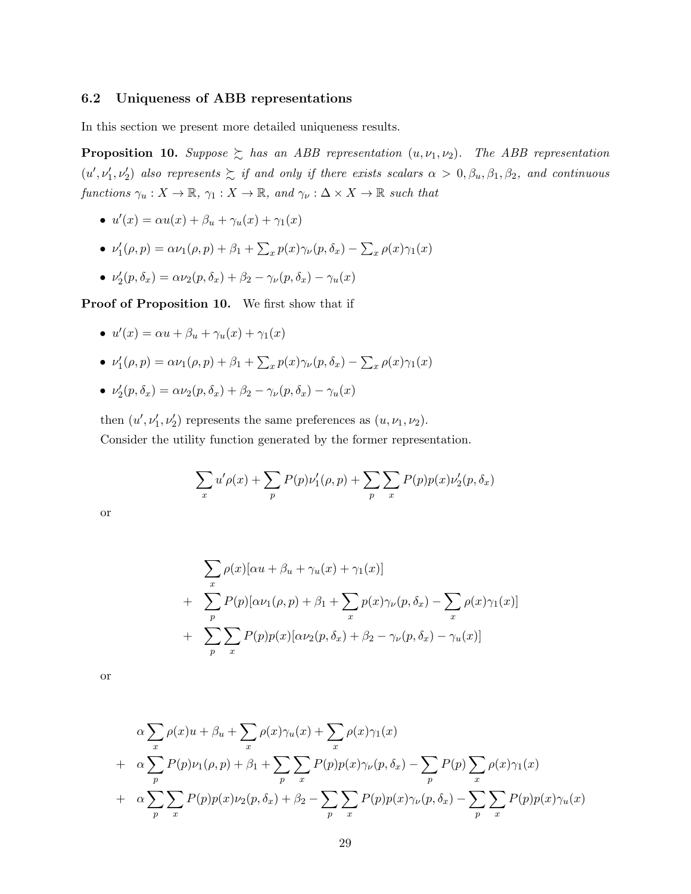#### 6.2 Uniqueness of ABB representations

In this section we present more detailed uniqueness results.

**Proposition 10.** Suppose  $\geq$  has an ABB representation  $(u, \nu_1, \nu_2)$ . The ABB representation  $(u',\nu'_1,\nu'_2)$  also represents  $\succsim$  if and only if there exists scalars  $\alpha > 0, \beta_u, \beta_1, \beta_2$ , and continuous functions  $\gamma_u : X \to \mathbb{R}$ ,  $\gamma_1 : X \to \mathbb{R}$ , and  $\gamma_v : \Delta \times X \to \mathbb{R}$  such that

- $u'(x) = \alpha u(x) + \beta_u + \gamma_u(x) + \gamma_1(x)$
- $\nu'_1(\rho, p) = \alpha \nu_1(\rho, p) + \beta_1 + \sum_x p(x) \gamma_\nu(p, \delta_x) \sum_x \rho(x) \gamma_1(x)$
- $\nu'_2(p, \delta_x) = \alpha \nu_2(p, \delta_x) + \beta_2 \gamma_\nu(p, \delta_x) \gamma_u(x)$

Proof of Proposition 10. We first show that if

- $u'(x) = \alpha u + \beta_u + \gamma_u(x) + \gamma_1(x)$
- $\nu'_1(\rho, p) = \alpha \nu_1(\rho, p) + \beta_1 + \sum_x p(x) \gamma_\nu(p, \delta_x) \sum_x \rho(x) \gamma_1(x)$
- $\nu'_2(p, \delta_x) = \alpha \nu_2(p, \delta_x) + \beta_2 \gamma_\nu(p, \delta_x) \gamma_u(x)$

then  $(u', \nu'_1, \nu'_2)$  represents the same preferences as  $(u, \nu_1, \nu_2)$ . Consider the utility function generated by the former representation.

$$
\sum_{x} u' \rho(x) + \sum_{p} P(p) \nu'_1(\rho, p) + \sum_{p} \sum_{x} P(p) p(x) \nu'_2(p, \delta_x)
$$

or

$$
\sum_{x} \rho(x)[\alpha u + \beta_u + \gamma_u(x) + \gamma_1(x)]
$$
  
+ 
$$
\sum_{p} P(p)[\alpha \nu_1(\rho, p) + \beta_1 + \sum_{x} p(x)\gamma_\nu(p, \delta_x) - \sum_{x} \rho(x)\gamma_1(x)]
$$
  
+ 
$$
\sum_{p} \sum_{x} P(p)p(x)[\alpha \nu_2(p, \delta_x) + \beta_2 - \gamma_\nu(p, \delta_x) - \gamma_u(x)]
$$

or

$$
\alpha \sum_{x} \rho(x)u + \beta_u + \sum_{x} \rho(x)\gamma_u(x) + \sum_{x} \rho(x)\gamma_1(x)
$$
  
+ 
$$
\alpha \sum_{p} P(p)\nu_1(\rho, p) + \beta_1 + \sum_{p} \sum_{x} P(p)p(x)\gamma_\nu(p, \delta_x) - \sum_{p} P(p) \sum_{x} \rho(x)\gamma_1(x)
$$
  
+ 
$$
\alpha \sum_{p} \sum_{x} P(p)p(x)\nu_2(p, \delta_x) + \beta_2 - \sum_{p} \sum_{x} P(p)p(x)\gamma_\nu(p, \delta_x) - \sum_{p} \sum_{x} P(p)p(x)\gamma_u(x)
$$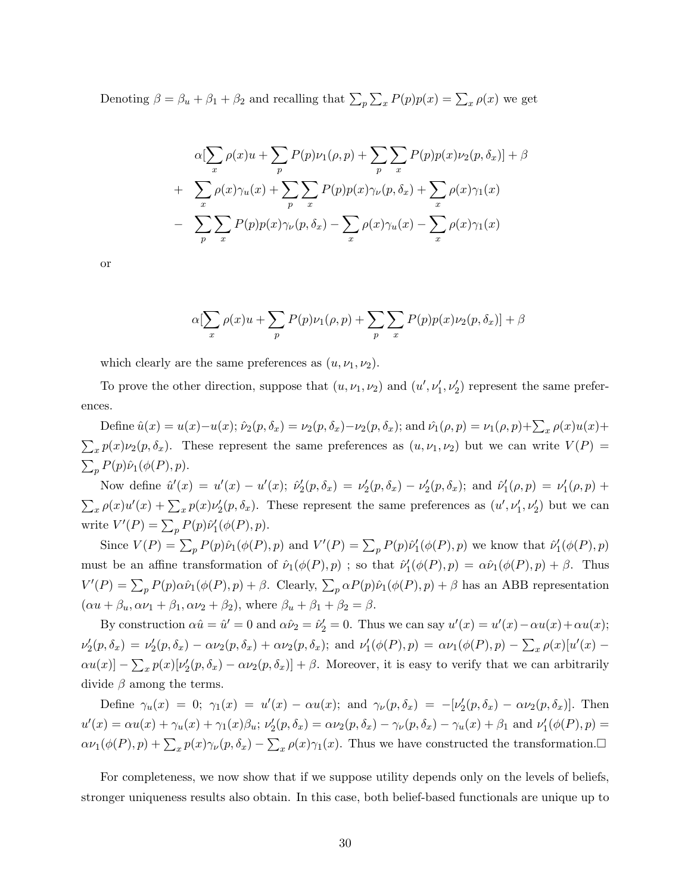Denoting  $\beta = \beta_u + \beta_1 + \beta_2$  and recalling that  $\sum_p \sum_x P(p)p(x) = \sum_x \rho(x)$  we get

$$
\alpha \left[ \sum_{x} \rho(x) u + \sum_{p} P(p) \nu_1(\rho, p) + \sum_{p} \sum_{x} P(p) p(x) \nu_2(p, \delta_x) \right] + \beta
$$
  
+ 
$$
\sum_{x} \rho(x) \gamma_u(x) + \sum_{p} \sum_{x} P(p) p(x) \gamma_\nu(p, \delta_x) + \sum_{x} \rho(x) \gamma_1(x)
$$
  
- 
$$
\sum_{p} \sum_{x} P(p) p(x) \gamma_\nu(p, \delta_x) - \sum_{x} \rho(x) \gamma_u(x) - \sum_{x} \rho(x) \gamma_1(x)
$$

or

$$
\alpha[\sum_{x} \rho(x)u + \sum_{p} P(p)\nu_1(\rho, p) + \sum_{p} \sum_{x} P(p)p(x)\nu_2(p, \delta_x)] + \beta
$$

which clearly are the same preferences as  $(u, \nu_1, \nu_2)$ .

To prove the other direction, suppose that  $(u, \nu_1, \nu_2)$  and  $(u', \nu'_1, \nu'_2)$  represent the same preferences.

Define  $\hat{u}(x) = u(x) - u(x)$ ;  $\hat{\nu}_2(p, \delta_x) = \nu_2(p, \delta_x) - \nu_2(p, \delta_x)$ ; and  $\hat{\nu}_1(p, p) = \nu_1(p, p) + \sum_x \rho(x)u(x) +$  $\sum_{x} p(x) \nu_2(p, \delta_x)$ . These represent the same preferences as  $(u, \nu_1, \nu_2)$  but we can write  $V(P)$  $\sum_p P(p)\hat{\nu}_1(\phi(P), p).$ 

Now define  $\hat{u}'(x) = u'(x) - u'(x)$ ;  $\hat{\nu}'_2(p, \delta_x) = \nu'_2(p, \delta_x) - \nu'_2(p, \delta_x)$ ; and  $\hat{\nu}'_1(\rho, p) = \nu'_1(\rho, p) +$  $\sum_{x} \rho(x) u'(x) + \sum_{x} p(x) \nu_2'(p, \delta_x)$ . These represent the same preferences as  $(u', \nu_1', \nu_2')$  but we can write  $V'(P) = \sum_p P(p)\hat{\nu}'_1(\phi(P), p).$ 

Since  $V(P) = \sum_p P(p)\hat{\nu}_1(\phi(P), p)$  and  $V'(P) = \sum_p P(p)\hat{\nu}'_1(\phi(P), p)$  we know that  $\hat{\nu}'_1(\phi(P), p)$ must be an affine transformation of  $\hat{\nu}_1(\phi(P), p)$ ; so that  $\hat{\nu}'_1(\phi(P), p) = \alpha \hat{\nu}_1(\phi(P), p) + \beta$ . Thus  $V'(P) = \sum_p P(p) \alpha \hat{\nu}_1(\phi(P), p) + \beta$ . Clearly,  $\sum_p \alpha P(p) \hat{\nu}_1(\phi(P), p) + \beta$  has an ABB representation  $(\alpha u + \beta_u, \alpha \nu_1 + \beta_1, \alpha \nu_2 + \beta_2)$ , where  $\beta_u + \beta_1 + \beta_2 = \beta$ .

By construction  $\alpha \hat{u} = \hat{u}' = 0$  and  $\alpha \hat{\nu}_2 = \hat{\nu}'_2 = 0$ . Thus we can say  $u'(x) = u'(x) - \alpha u(x) + \alpha u(x)$ ;  $\nu'_2(p,\delta_x) = \nu'_2(p,\delta_x) - \alpha \nu_2(p,\delta_x) + \alpha \nu_2(p,\delta_x)$ ; and  $\nu'_1(\phi(P),p) = \alpha \nu_1(\phi(P),p) - \sum_x \rho(x)[u'(x) \alpha u(x)$ ] –  $\sum_x p(x) \left[ \nu'_2(p, \delta_x) - \alpha \nu_2(p, \delta_x) \right] + \beta$ . Moreover, it is easy to verify that we can arbitrarily divide  $\beta$  among the terms.

Define  $\gamma_u(x) = 0$ ;  $\gamma_1(x) = u'(x) - \alpha u(x)$ ; and  $\gamma_\nu(p, \delta_x) = -[\nu'_2(p, \delta_x) - \alpha \nu_2(p, \delta_x)]$ . Then  $u'(x) = \alpha u(x) + \gamma_u(x) + \gamma_1(x)\beta_u$ ;  $\nu'_2(p, \delta_x) = \alpha \nu_2(p, \delta_x) - \gamma_\nu(p, \delta_x) - \gamma_u(x) + \beta_1$  and  $\nu'_1(\phi(P), p) =$  $\alpha\nu_1(\phi(P), p) + \sum_x p(x)\gamma_\nu(p, \delta_x) - \sum_x \rho(x)\gamma_1(x)$ . Thus we have constructed the transformation.

For completeness, we now show that if we suppose utility depends only on the levels of beliefs, stronger uniqueness results also obtain. In this case, both belief-based functionals are unique up to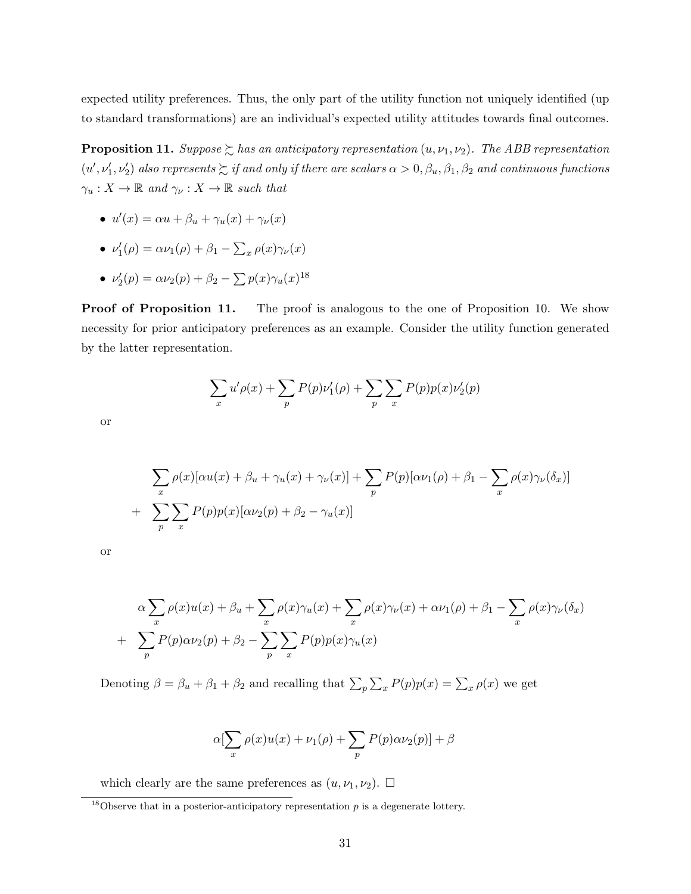expected utility preferences. Thus, the only part of the utility function not uniquely identified (up to standard transformations) are an individual's expected utility attitudes towards final outcomes.

**Proposition 11.** Suppose  $\geq$  has an anticipatory representation  $(u, \nu_1, \nu_2)$ . The ABB representation  $(u',\nu'_1,\nu'_2)$  also represents  $\succsim$  if and only if there are scalars  $\alpha>0, \beta_u, \beta_1, \beta_2$  and continuous functions  $\gamma_u: X \to \mathbb{R}$  and  $\gamma_v: X \to \mathbb{R}$  such that

- $u'(x) = \alpha u + \beta_u + \gamma_u(x) + \gamma_v(x)$
- $\nu'_1(\rho) = \alpha \nu_1(\rho) + \beta_1 \sum_x \rho(x) \gamma_\nu(x)$
- $\nu'_2(p) = \alpha \nu_2(p) + \beta_2 \sum p(x) \gamma_u(x)^{18}$

Proof of Proposition 11. The proof is analogous to the one of Proposition 10. We show necessity for prior anticipatory preferences as an example. Consider the utility function generated by the latter representation.

$$
\sum_{x} u' \rho(x) + \sum_{p} P(p) \nu'_1(\rho) + \sum_{p} \sum_{x} P(p) p(x) \nu'_2(p)
$$

or

$$
\sum_{x} \rho(x)[\alpha u(x) + \beta_u + \gamma_u(x) + \gamma_\nu(x)] + \sum_{p} P(p)[\alpha \nu_1(\rho) + \beta_1 - \sum_{x} \rho(x)\gamma_\nu(\delta_x)]
$$
  
+ 
$$
\sum_{p} \sum_{x} P(p)p(x)[\alpha \nu_2(p) + \beta_2 - \gamma_u(x)]
$$

or

$$
\alpha \sum_{x} \rho(x)u(x) + \beta_u + \sum_{x} \rho(x)\gamma_u(x) + \sum_{x} \rho(x)\gamma_\nu(x) + \alpha \nu_1(\rho) + \beta_1 - \sum_{x} \rho(x)\gamma_\nu(\delta_x)
$$

$$
+ \sum_{p} P(p)\alpha \nu_2(p) + \beta_2 - \sum_{p} \sum_{x} P(p)p(x)\gamma_u(x)
$$

Denoting  $\beta = \beta_u + \beta_1 + \beta_2$  and recalling that  $\sum_p \sum_x P(p)p(x) = \sum_x \rho(x)$  we get

$$
\alpha[\sum_{x} \rho(x)u(x) + \nu_1(\rho) + \sum_{p} P(p)\alpha\nu_2(p)] + \beta
$$

which clearly are the same preferences as  $(u, \nu_1, \nu_2)$ .  $\Box$ 

<sup>&</sup>lt;sup>18</sup>Observe that in a posterior-anticipatory representation  $p$  is a degenerate lottery.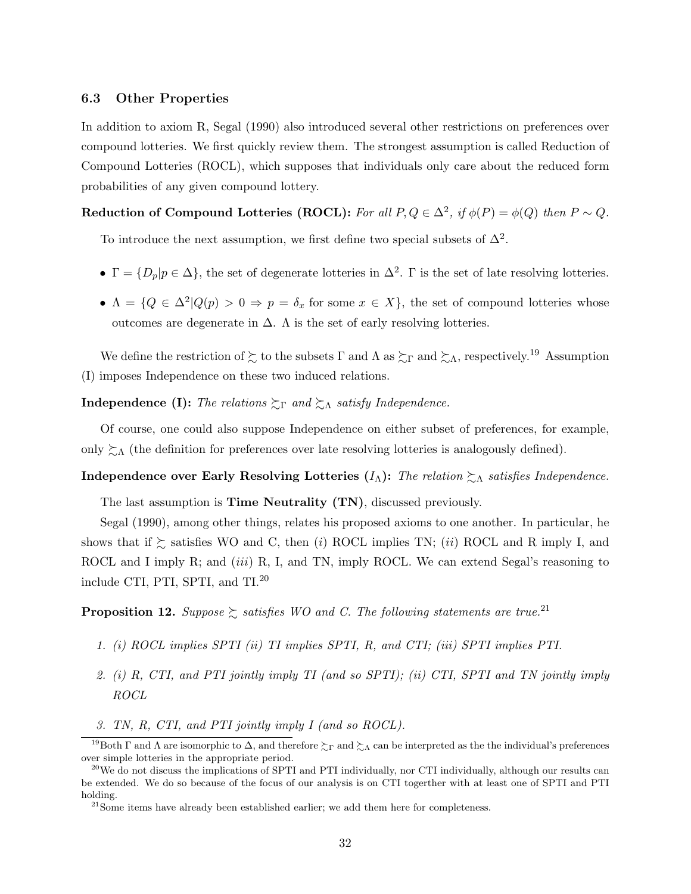#### 6.3 Other Properties

In addition to axiom R, Segal (1990) also introduced several other restrictions on preferences over compound lotteries. We first quickly review them. The strongest assumption is called Reduction of Compound Lotteries (ROCL), which supposes that individuals only care about the reduced form probabilities of any given compound lottery.

### Reduction of Compound Lotteries (ROCL): For all  $P, Q \in \Delta^2$ , if  $\phi(P) = \phi(Q)$  then  $P \sim Q$ .

To introduce the next assumption, we first define two special subsets of  $\Delta^2$ .

- $\Gamma = \{D_p | p \in \Delta\}$ , the set of degenerate lotteries in  $\Delta^2$ .  $\Gamma$  is the set of late resolving lotteries.
- $\Lambda = \{Q \in \Delta^2 | Q(p) > 0 \Rightarrow p = \delta_x \text{ for some } x \in X\},\$  the set of compound lotteries whose outcomes are degenerate in  $\Delta$ . A is the set of early resolving lotteries.

We define the restriction of  $\succsim$  to the subsets  $\Gamma$  and  $\Lambda$  as  $\succsim_{\Gamma}$  and  $\succsim_{\Lambda}$ , respectively.<sup>19</sup> Assumption (I) imposes Independence on these two induced relations.

### **Independence (I):** The relations  $\Sigma_{\Gamma}$  and  $\Sigma_{\Lambda}$  satisfy Independence.

Of course, one could also suppose Independence on either subset of preferences, for example, only  $\gtrsim_{\Lambda}$  (the definition for preferences over late resolving lotteries is analogously defined).

### Independence over Early Resolving Lotteries  $(I_{\Lambda})$ : The relation  $\succsim_{\Lambda}$  satisfies Independence.

The last assumption is Time Neutrality (TN), discussed previously.

Segal (1990), among other things, relates his proposed axioms to one another. In particular, he shows that if  $\succeq$  satisfies WO and C, then (i) ROCL implies TN; (ii) ROCL and R imply I, and ROCL and I imply R; and *(iii)* R, I, and TN, imply ROCL. We can extend Segal's reasoning to include CTI, PTI, SPTI, and TI.<sup>20</sup>

**Proposition 12.** Suppose  $\geq$  satisfies WO and C. The following statements are true.<sup>21</sup>

- 1. (i) ROCL implies SPTI (ii) TI implies SPTI, R, and CTI; (iii) SPTI implies PTI.
- 2. (i) R, CTI, and PTI jointly imply TI (and so SPTI); (ii) CTI, SPTI and TN jointly imply ROCL
- 3. TN, R, CTI, and PTI jointly imply I (and so ROCL).

<sup>&</sup>lt;sup>19</sup>Both Γ and Λ are isomorphic to Δ, and therefore  $\gtrsim$  Γ and  $\gtrsim$  Λ can be interpreted as the the individual's preferences over simple lotteries in the appropriate period.

 $^{20}$ We do not discuss the implications of SPTI and PTI individually, nor CTI individually, although our results can be extended. We do so because of the focus of our analysis is on CTI togerther with at least one of SPTI and PTI holding.

<sup>&</sup>lt;sup>21</sup>Some items have already been established earlier; we add them here for completeness.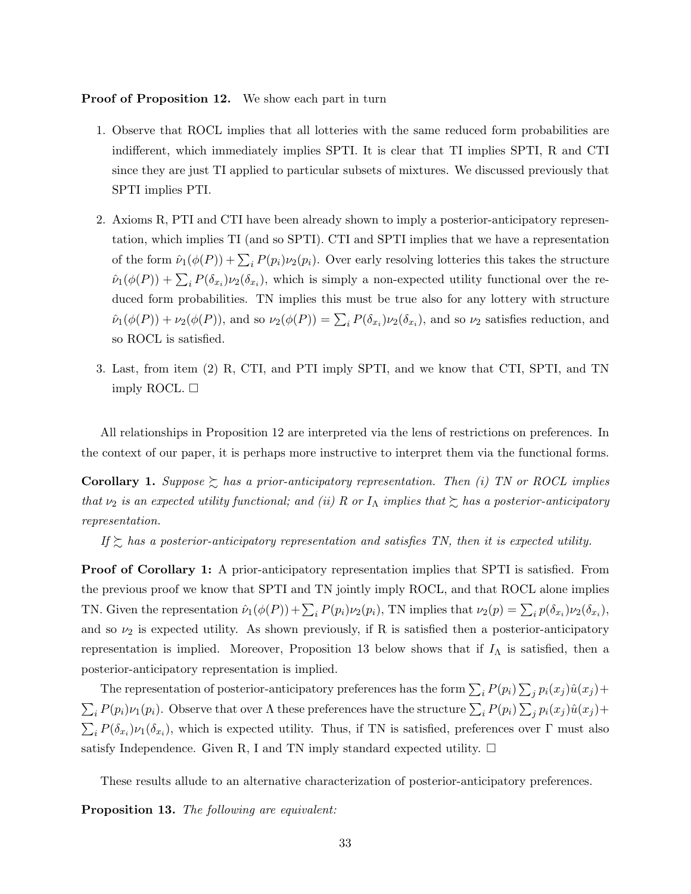#### Proof of Proposition 12. We show each part in turn

- 1. Observe that ROCL implies that all lotteries with the same reduced form probabilities are indifferent, which immediately implies SPTI. It is clear that TI implies SPTI, R and CTI since they are just TI applied to particular subsets of mixtures. We discussed previously that SPTI implies PTI.
- 2. Axioms R, PTI and CTI have been already shown to imply a posterior-anticipatory representation, which implies TI (and so SPTI). CTI and SPTI implies that we have a representation of the form  $\hat{\nu}_1(\phi(P)) + \sum_i P(p_i)\nu_2(p_i)$ . Over early resolving lotteries this takes the structure  $\hat{\nu}_1(\phi(P)) + \sum_i P(\delta_{x_i}) \nu_2(\delta_{x_i})$ , which is simply a non-expected utility functional over the reduced form probabilities. TN implies this must be true also for any lottery with structure  $\hat{\nu}_1(\phi(P)) + \nu_2(\phi(P))$ , and so  $\nu_2(\phi(P)) = \sum_i P(\delta_{x_i})\nu_2(\delta_{x_i})$ , and so  $\nu_2$  satisfies reduction, and so ROCL is satisfied.
- 3. Last, from item (2) R, CTI, and PTI imply SPTI, and we know that CTI, SPTI, and TN imply ROCL.  $\square$

All relationships in Proposition 12 are interpreted via the lens of restrictions on preferences. In the context of our paper, it is perhaps more instructive to interpret them via the functional forms.

**Corollary 1.** Suppose  $\succsim$  has a prior-anticipatory representation. Then (i) TN or ROCL implies that  $\nu_2$  is an expected utility functional; and (ii) R or  $I_\Lambda$  implies that  $\succsim$  has a posterior-anticipatory representation.

If  $\gtrsim$  has a posterior-anticipatory representation and satisfies TN, then it is expected utility.

Proof of Corollary 1: A prior-anticipatory representation implies that SPTI is satisfied. From the previous proof we know that SPTI and TN jointly imply ROCL, and that ROCL alone implies TN. Given the representation  $\hat{\nu}_1(\phi(P)) + \sum_i P(p_i)\nu_2(p_i)$ , TN implies that  $\nu_2(p) = \sum_i p(\delta_{x_i})\nu_2(\delta_{x_i})$ , and so  $\nu_2$  is expected utility. As shown previously, if R is satisfied then a posterior-anticipatory representation is implied. Moreover, Proposition 13 below shows that if  $I_{\Lambda}$  is satisfied, then a posterior-anticipatory representation is implied.

The representation of posterior-anticipatory preferences has the form  $\sum_i P(p_i) \sum_j p_i(x_j) \hat{u}(x_j) +$  $\sum_i P(p_i)\nu_1(p_i)$ . Observe that over  $\Lambda$  these preferences have the structure  $\sum_i P(p_i) \sum_j p_i(x_j)\hat{u}(x_j) +$  $\sum_i P(\delta_{x_i})\nu_1(\delta_{x_i})$ , which is expected utility. Thus, if TN is satisfied, preferences over  $\Gamma$  must also satisfy Independence. Given R, I and TN imply standard expected utility.  $\Box$ 

These results allude to an alternative characterization of posterior-anticipatory preferences.

Proposition 13. The following are equivalent: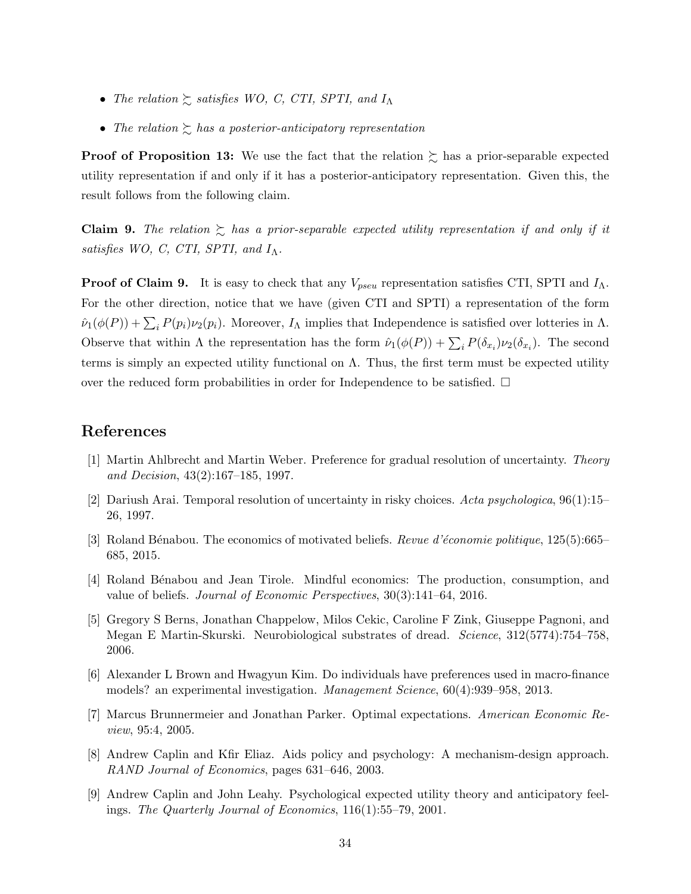- The relation  $\gtrsim$  satisfies WO, C, CTI, SPTI, and  $I_{\Lambda}$
- The relation  $\sum$  has a posterior-anticipatory representation

**Proof of Proposition 13:** We use the fact that the relation  $\gtrsim$  has a prior-separable expected utility representation if and only if it has a posterior-anticipatory representation. Given this, the result follows from the following claim.

**Claim 9.** The relation  $\sum$  has a prior-separable expected utility representation if and only if it satisfies WO, C, CTI, SPTI, and  $I_{\Lambda}$ .

**Proof of Claim 9.** It is easy to check that any  $V_{pseu}$  representation satisfies CTI, SPTI and  $I_{\Lambda}$ . For the other direction, notice that we have (given CTI and SPTI) a representation of the form  $\hat{\nu}_1(\phi(P)) + \sum_i P(p_i)\nu_2(p_i)$ . Moreover,  $I_\Lambda$  implies that Independence is satisfied over lotteries in  $\Lambda$ . Observe that within  $\Lambda$  the representation has the form  $\hat{\nu}_1(\phi(P)) + \sum_i P(\delta_{x_i}) \nu_2(\delta_{x_i})$ . The second terms is simply an expected utility functional on  $\Lambda$ . Thus, the first term must be expected utility over the reduced form probabilities in order for Independence to be satisfied.  $\Box$ 

### References

- [1] Martin Ahlbrecht and Martin Weber. Preference for gradual resolution of uncertainty. Theory and Decision, 43(2):167–185, 1997.
- [2] Dariush Arai. Temporal resolution of uncertainty in risky choices. Acta psychologica, 96(1):15– 26, 1997.
- [3] Roland Bénabou. The economics of motivated beliefs. Revue d'économie politique, 125(5):665– 685, 2015.
- [4] Roland B´enabou and Jean Tirole. Mindful economics: The production, consumption, and value of beliefs. Journal of Economic Perspectives, 30(3):141–64, 2016.
- [5] Gregory S Berns, Jonathan Chappelow, Milos Cekic, Caroline F Zink, Giuseppe Pagnoni, and Megan E Martin-Skurski. Neurobiological substrates of dread. Science, 312(5774):754–758, 2006.
- [6] Alexander L Brown and Hwagyun Kim. Do individuals have preferences used in macro-finance models? an experimental investigation. Management Science, 60(4):939–958, 2013.
- [7] Marcus Brunnermeier and Jonathan Parker. Optimal expectations. American Economic Review, 95:4, 2005.
- [8] Andrew Caplin and Kfir Eliaz. Aids policy and psychology: A mechanism-design approach. RAND Journal of Economics, pages 631–646, 2003.
- [9] Andrew Caplin and John Leahy. Psychological expected utility theory and anticipatory feelings. The Quarterly Journal of Economics, 116(1):55–79, 2001.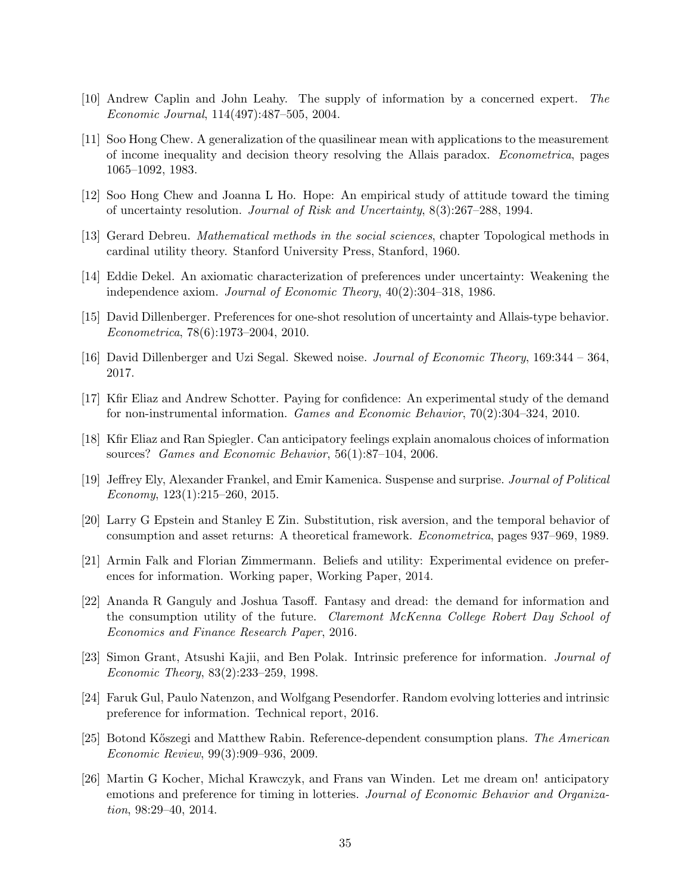- [10] Andrew Caplin and John Leahy. The supply of information by a concerned expert. The Economic Journal, 114(497):487–505, 2004.
- [11] Soo Hong Chew. A generalization of the quasilinear mean with applications to the measurement of income inequality and decision theory resolving the Allais paradox. Econometrica, pages 1065–1092, 1983.
- [12] Soo Hong Chew and Joanna L Ho. Hope: An empirical study of attitude toward the timing of uncertainty resolution. Journal of Risk and Uncertainty, 8(3):267–288, 1994.
- [13] Gerard Debreu. Mathematical methods in the social sciences, chapter Topological methods in cardinal utility theory. Stanford University Press, Stanford, 1960.
- [14] Eddie Dekel. An axiomatic characterization of preferences under uncertainty: Weakening the independence axiom. Journal of Economic Theory, 40(2):304–318, 1986.
- [15] David Dillenberger. Preferences for one-shot resolution of uncertainty and Allais-type behavior. Econometrica, 78(6):1973–2004, 2010.
- [16] David Dillenberger and Uzi Segal. Skewed noise. Journal of Economic Theory, 169:344 364, 2017.
- [17] Kfir Eliaz and Andrew Schotter. Paying for confidence: An experimental study of the demand for non-instrumental information. Games and Economic Behavior, 70(2):304–324, 2010.
- [18] Kfir Eliaz and Ran Spiegler. Can anticipatory feelings explain anomalous choices of information sources? Games and Economic Behavior, 56(1):87–104, 2006.
- [19] Jeffrey Ely, Alexander Frankel, and Emir Kamenica. Suspense and surprise. Journal of Political Economy,  $123(1):215-260$ ,  $2015$ .
- [20] Larry G Epstein and Stanley E Zin. Substitution, risk aversion, and the temporal behavior of consumption and asset returns: A theoretical framework. Econometrica, pages 937–969, 1989.
- [21] Armin Falk and Florian Zimmermann. Beliefs and utility: Experimental evidence on preferences for information. Working paper, Working Paper, 2014.
- [22] Ananda R Ganguly and Joshua Tasoff. Fantasy and dread: the demand for information and the consumption utility of the future. Claremont McKenna College Robert Day School of Economics and Finance Research Paper, 2016.
- [23] Simon Grant, Atsushi Kajii, and Ben Polak. Intrinsic preference for information. Journal of Economic Theory, 83(2):233–259, 1998.
- [24] Faruk Gul, Paulo Natenzon, and Wolfgang Pesendorfer. Random evolving lotteries and intrinsic preference for information. Technical report, 2016.
- [25] Botond Kőszegi and Matthew Rabin. Reference-dependent consumption plans. The American Economic Review, 99(3):909–936, 2009.
- [26] Martin G Kocher, Michal Krawczyk, and Frans van Winden. Let me dream on! anticipatory emotions and preference for timing in lotteries. Journal of Economic Behavior and Organization, 98:29–40, 2014.